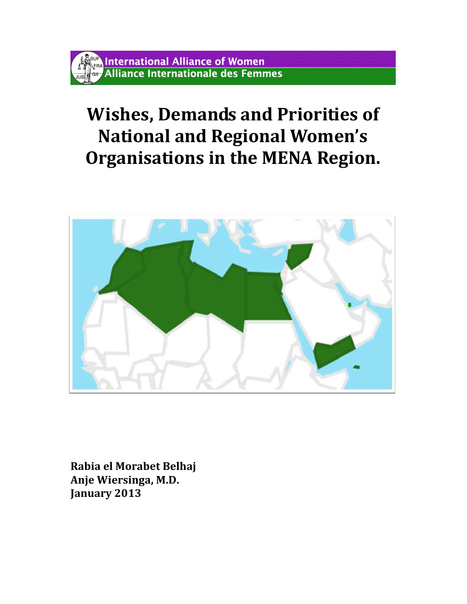# Wishes, Demands and Priorities of National and Regional Women's Organisations in the MENA Region.



Rabia el Morabet Belhaj Anje Wiersinga, M.D. January 2013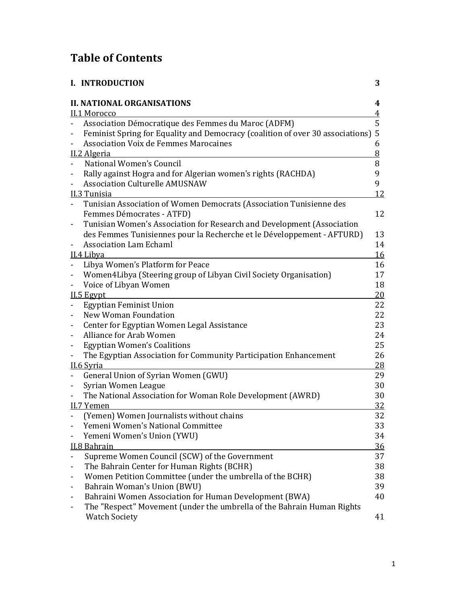## Table of Contents

|                              | <b>I. INTRODUCTION</b>                                                           | 3               |
|------------------------------|----------------------------------------------------------------------------------|-----------------|
|                              | <b>II. NATIONAL ORGANISATIONS</b>                                                | 4               |
|                              | II.1 Morocco                                                                     | $\overline{4}$  |
|                              | Association Démocratique des Femmes du Maroc (ADFM)                              | 5               |
| -                            | Feminist Spring for Equality and Democracy (coalition of over 30 associations) 5 |                 |
|                              | <b>Association Voix de Femmes Marocaines</b>                                     | 6               |
|                              | II.2 Algeria                                                                     | $8\overline{6}$ |
|                              | National Women's Council                                                         | 8               |
|                              | Rally against Hogra and for Algerian women's rights (RACHDA)                     | 9               |
|                              | <b>Association Culturelle AMUSNAW</b>                                            | 9               |
|                              | II.3 Tunisia                                                                     | 12              |
|                              | Tunisian Association of Women Democrats (Association Tunisienne des              |                 |
|                              | Femmes Démocrates - ATFD)                                                        | 12              |
|                              | Tunisian Women's Association for Research and Development (Association           |                 |
|                              | des Femmes Tunisiennes pour la Recherche et le Développement - AFTURD)           | 13              |
| -                            | <b>Association Lam Echaml</b>                                                    | 14              |
|                              | II.4 Libya                                                                       | 16              |
|                              | Libya Women's Platform for Peace                                                 | 16              |
|                              | Women4Libya (Steering group of Libyan Civil Society Organisation)                | 17              |
|                              | Voice of Libyan Women                                                            | 18              |
|                              | II.5 Egypt                                                                       | 20              |
|                              | <b>Egyptian Feminist Union</b>                                                   | 22              |
|                              | New Woman Foundation                                                             | 22              |
| -                            | Center for Egyptian Women Legal Assistance                                       | 23              |
| $\overline{a}$               | Alliance for Arab Women                                                          | 24              |
| $\qquad \qquad \blacksquare$ | <b>Egyptian Women's Coalitions</b>                                               | 25              |
|                              | The Egyptian Association for Community Participation Enhancement                 | 26              |
|                              | II.6 Syria                                                                       | 28              |
|                              | General Union of Syrian Women (GWU)                                              | 29              |
|                              | Syrian Women League                                                              | 30              |
|                              | The National Association for Woman Role Development (AWRD)                       | 30              |
|                              | II.7 Yemen                                                                       | 32              |
|                              | (Yemen) Women Journalists without chains                                         | 32              |
|                              | Yemeni Women's National Committee                                                | 33              |
|                              | Yemeni Women's Union (YWU)                                                       | 34              |
|                              | II.8 Bahrain                                                                     | 36              |
| $\overline{\phantom{0}}$     | Supreme Women Council (SCW) of the Government                                    | 37              |
|                              | The Bahrain Center for Human Rights (BCHR)                                       | 38              |
| -                            | Women Petition Committee (under the umbrella of the BCHR)                        | 38              |
| ٠                            | Bahrain Woman's Union (BWU)                                                      | 39              |
| ۰                            | Bahraini Women Association for Human Development (BWA)                           | 40              |
|                              | The "Respect" Movement (under the umbrella of the Bahrain Human Rights           |                 |
|                              | <b>Watch Society</b>                                                             | 41              |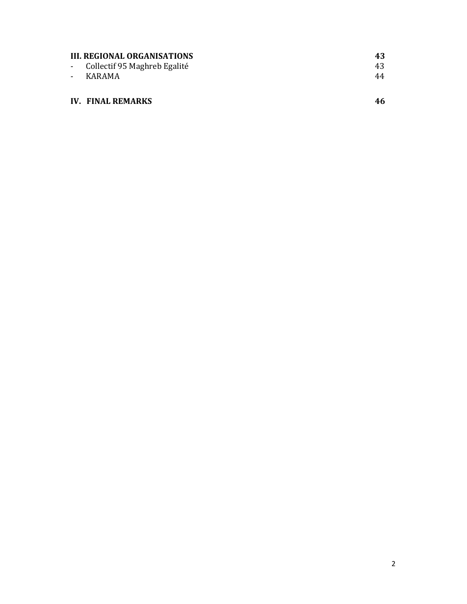| <b>III. REGIONAL ORGANISATIONS</b> | 43 |
|------------------------------------|----|
| - Collectif 95 Maghreb Egalité     | 43 |
| - KARAMA                           | 44 |
|                                    |    |
| <b>IV. FINAL REMARKS</b>           |    |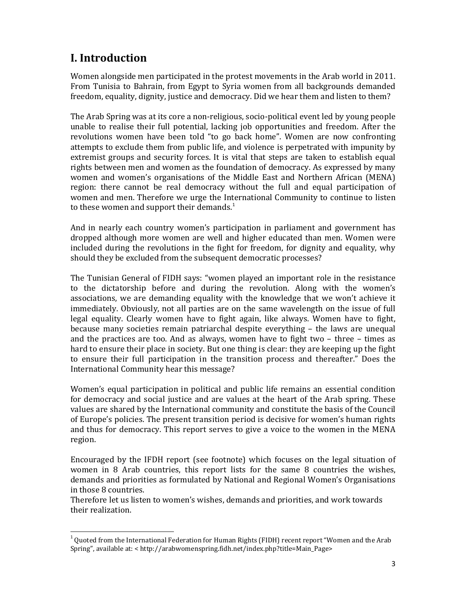## I. Introduction

l,

Women alongside men participated in the protest movements in the Arab world in 2011. From Tunisia to Bahrain, from Egypt to Syria women from all backgrounds demanded freedom, equality, dignity, justice and democracy. Did we hear them and listen to them?

The Arab Spring was at its core a non-religious, socio-political event led by young people unable to realise their full potential, lacking job opportunities and freedom. After the revolutions women have been told "to go back home". Women are now confronting attempts to exclude them from public life, and violence is perpetrated with impunity by extremist groups and security forces. It is vital that steps are taken to establish equal rights between men and women as the foundation of democracy. As expressed by many women and women's organisations of the Middle East and Northern African (MENA) region: there cannot be real democracy without the full and equal participation of women and men. Therefore we urge the International Community to continue to listen to these women and support their demands. $1$ 

And in nearly each country women's participation in parliament and government has dropped although more women are well and higher educated than men. Women were included during the revolutions in the fight for freedom, for dignity and equality, why should they be excluded from the subsequent democratic processes?

The Tunisian General of FIDH says: "women played an important role in the resistance to the dictatorship before and during the revolution. Along with the women's associations, we are demanding equality with the knowledge that we won't achieve it immediately. Obviously, not all parties are on the same wavelength on the issue of full legal equality. Clearly women have to fight again, like always. Women have to fight, because many societies remain patriarchal despite everything – the laws are unequal and the practices are too. And as always, women have to fight two – three – times as hard to ensure their place in society. But one thing is clear: they are keeping up the fight to ensure their full participation in the transition process and thereafter." Does the International Community hear this message?

Women's equal participation in political and public life remains an essential condition for democracy and social justice and are values at the heart of the Arab spring. These values are shared by the International community and constitute the basis of the Council of Europe's policies. The present transition period is decisive for women's human rights and thus for democracy. This report serves to give a voice to the women in the MENA region.

Encouraged by the IFDH report (see footnote) which focuses on the legal situation of women in 8 Arab countries, this report lists for the same 8 countries the wishes, demands and priorities as formulated by National and Regional Women's Organisations in those 8 countries.

Therefore let us listen to women's wishes, demands and priorities, and work towards their realization.

 $1$  Quoted from the International Federation for Human Rights (FIDH) recent report "Women and the Arab Spring", available at: < http://arabwomenspring.fidh.net/index.php?title=Main\_Page>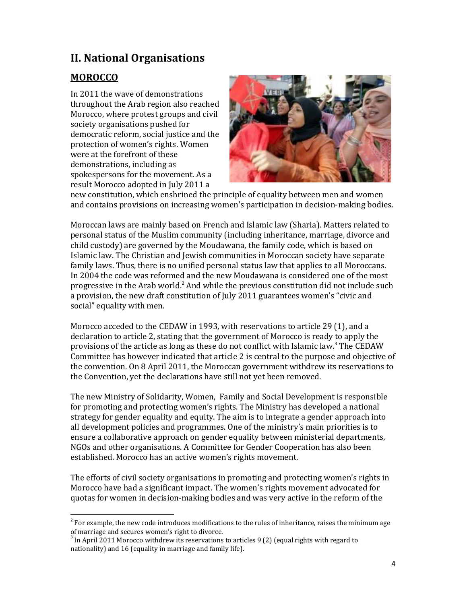## II. National Organisations

## MOROCCO

l,

In 2011 the wave of demonstrations throughout the Arab region also reached Morocco, where protest groups and civil society organisations pushed for democratic reform, social justice and the protection of women's rights. Women were at the forefront of these demonstrations, including as spokespersons for the movement. As a result Morocco adopted in July 2011 a



new constitution, which enshrined the principle of equality between men and women and contains provisions on increasing women's participation in decision-making bodies.

Moroccan laws are mainly based on French and Islamic law (Sharia). Matters related to personal status of the Muslim community (including inheritance, marriage, divorce and child custody) are governed by the Moudawana, the family code, which is based on Islamic law. The Christian and Jewish communities in Moroccan society have separate family laws. Thus, there is no unified personal status law that applies to all Moroccans. In 2004 the code was reformed and the new Moudawana is considered one of the most progressive in the Arab world.<sup>2</sup> And while the previous constitution did not include such a provision, the new draft constitution of July 2011 guarantees women's "civic and social" equality with men.

Morocco acceded to the CEDAW in 1993, with reservations to article 29 (1), and a declaration to article 2, stating that the government of Morocco is ready to apply the provisions of the article as long as these do not conflict with Islamic law.<sup>3</sup> The CEDAW Committee has however indicated that article 2 is central to the purpose and objective of the convention. On 8 April 2011, the Moroccan government withdrew its reservations to the Convention, yet the declarations have still not yet been removed.

The new Ministry of Solidarity, Women, Family and Social Development is responsible for promoting and protecting women's rights. The Ministry has developed a national strategy for gender equality and equity. The aim is to integrate a gender approach into all development policies and programmes. One of the ministry's main priorities is to ensure a collaborative approach on gender equality between ministerial departments, NGOs and other organisations. A Committee for Gender Cooperation has also been established. Morocco has an active women's rights movement.

The efforts of civil society organisations in promoting and protecting women's rights in Morocco have had a significant impact. The women's rights movement advocated for quotas for women in decision-making bodies and was very active in the reform of the

 $2^{2}$  For example, the new code introduces modifications to the rules of inheritance, raises the minimum age of marriage and secures women's right to divorce.

 $3$  In April 2011 Morocco withdrew its reservations to articles 9 (2) (equal rights with regard to nationality) and 16 (equality in marriage and family life).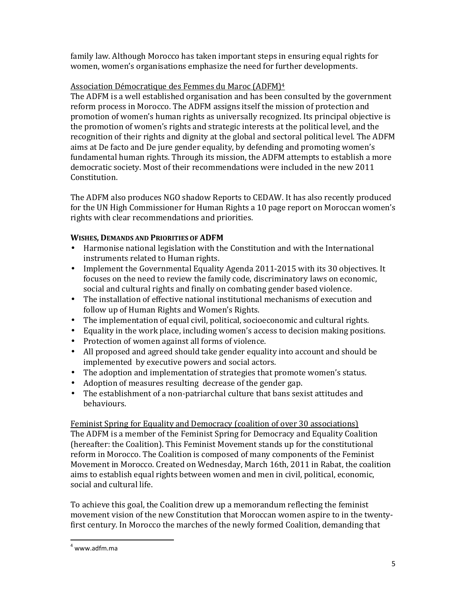family law. Although Morocco has taken important steps in ensuring equal rights for women, women's organisations emphasize the need for further developments.

## Association Démocratique des Femmes du Maroc (ADFM)<sup>4</sup>

The ADFM is a well established organisation and has been consulted by the government reform process in Morocco. The ADFM assigns itself the mission of protection and promotion of women's human rights as universally recognized. Its principal objective is the promotion of women's rights and strategic interests at the political level, and the recognition of their rights and dignity at the global and sectoral political level. The ADFM aims at De facto and De jure gender equality, by defending and promoting women's fundamental human rights. Through its mission, the ADFM attempts to establish a more democratic society. Most of their recommendations were included in the new 2011 Constitution.

The ADFM also produces NGO shadow Reports to CEDAW. It has also recently produced for the UN High Commissioner for Human Rights a 10 page report on Moroccan women's rights with clear recommendations and priorities.

## WISHES, DEMANDS AND PRIORITIES OF ADFM

- Harmonise national legislation with the Constitution and with the International instruments related to Human rights.
- Implement the Governmental Equality Agenda 2011-2015 with its 30 objectives. It focuses on the need to review the family code, discriminatory laws on economic, social and cultural rights and finally on combating gender based violence.
- The installation of effective national institutional mechanisms of execution and follow up of Human Rights and Women's Rights.
- The implementation of equal civil, political, socioeconomic and cultural rights.
- Equality in the work place, including women's access to decision making positions.
- Protection of women against all forms of violence.
- All proposed and agreed should take gender equality into account and should be implemented by executive powers and social actors.
- The adoption and implementation of strategies that promote women's status.
- Adoption of measures resulting decrease of the gender gap.
- The establishment of a non-patriarchal culture that bans sexist attitudes and behaviours.

Feminist Spring for Equality and Democracy (coalition of over 30 associations) The ADFM is a member of the Feminist Spring for Democracy and Equality Coalition (hereafter: the Coalition). This Feminist Movement stands up for the constitutional reform in Morocco. The Coalition is composed of many components of the Feminist Movement in Morocco. Created on Wednesday, March 16th, 2011 in Rabat, the coalition aims to establish equal rights between women and men in civil, political, economic, social and cultural life.

To achieve this goal, the Coalition drew up a memorandum reflecting the feminist movement vision of the new Constitution that Moroccan women aspire to in the twentyfirst century. In Morocco the marches of the newly formed Coalition, demanding that

<sup>4</sup> www.adfm.ma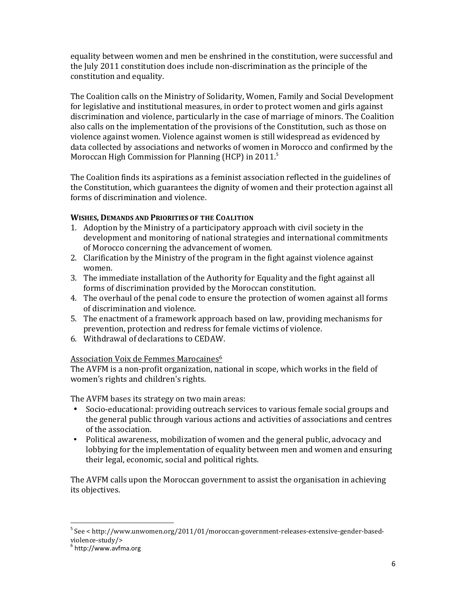equality between women and men be enshrined in the constitution, were successful and the July 2011 constitution does include non-discrimination as the principle of the constitution and equality.

The Coalition calls on the Ministry of Solidarity, Women, Family and Social Development for legislative and institutional measures, in order to protect women and girls against discrimination and violence, particularly in the case of marriage of minors. The Coalition also calls on the implementation of the provisions of the Constitution, such as those on violence against women. Violence against women is still widespread as evidenced by data collected by associations and networks of women in Morocco and confirmed by the Moroccan High Commission for Planning (HCP) in 2011.<sup>5</sup>

The Coalition finds its aspirations as a feminist association reflected in the guidelines of the Constitution, which guarantees the dignity of women and their protection against all forms of discrimination and violence.

#### WISHES, DEMANDS AND PRIORITIES OF THE COALITION

- 1. Adoption by the Ministry of a participatory approach with civil society in the development and monitoring of national strategies and international commitments of Morocco concerning the advancement of women.
- 2. Clarification by the Ministry of the program in the fight against violence against women.
- 3. The immediate installation of the Authority for Equality and the fight against all forms of discrimination provided by the Moroccan constitution.
- 4. The overhaul of the penal code to ensure the protection of women against all forms of discrimination and violence.
- 5. The enactment of a framework approach based on law, providing mechanisms for prevention, protection and redress for female victims of violence.
- 6. Withdrawal of declarations to CEDAW.

#### Association Voix de Femmes Marocaines<sup>6</sup>

The AVFM is a non-profit organization, national in scope, which works in the field of women's rights and children's rights.

The AVFM bases its strategy on two main areas:

- Socio-educational: providing outreach services to various female social groups and the general public through various actions and activities of associations and centres of the association.
- Political awareness, mobilization of women and the general public, advocacy and lobbying for the implementation of equality between men and women and ensuring their legal, economic, social and political rights.

The AVFM calls upon the Moroccan government to assist the organisation in achieving its objectives.

<sup>&</sup>lt;sup>5</sup> See < http://www.unwomen.org/2011/01/moroccan-government-releases-extensive-gender-basedviolence-study/>

<sup>6</sup> http://www.avfma.org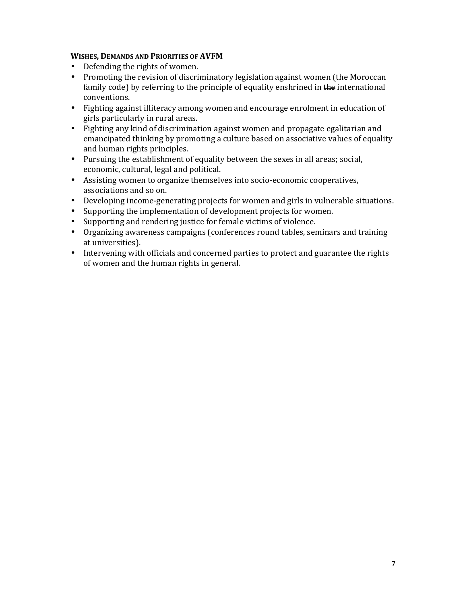#### WISHES, DEMANDS AND PRIORITIES OF AVFM

- Defending the rights of women.
- Promoting the revision of discriminatory legislation against women (the Moroccan family code) by referring to the principle of equality enshrined in the international conventions.
- Fighting against illiteracy among women and encourage enrolment in education of girls particularly in rural areas.
- Fighting any kind of discrimination against women and propagate egalitarian and emancipated thinking by promoting a culture based on associative values of equality and human rights principles.
- Pursuing the establishment of equality between the sexes in all areas; social, economic, cultural, legal and political.
- Assisting women to organize themselves into socio-economic cooperatives, associations and so on.
- Developing income-generating projects for women and girls in vulnerable situations.
- Supporting the implementation of development projects for women.
- Supporting and rendering justice for female victims of violence.
- Organizing awareness campaigns (conferences round tables, seminars and training at universities).
- Intervening with officials and concerned parties to protect and guarantee the rights of women and the human rights in general.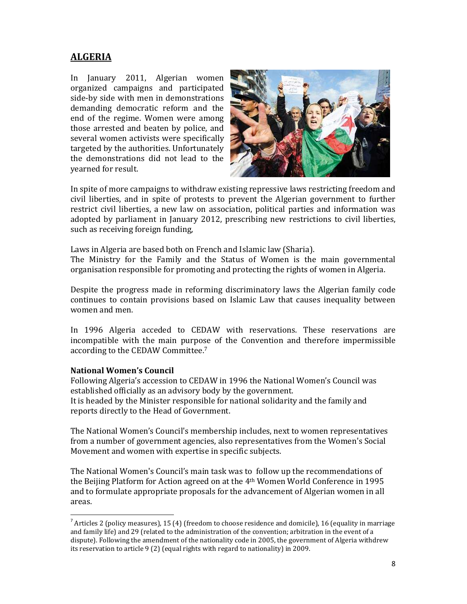## **ALGERIA**

In January 2011, Algerian women organized campaigns and participated side-by side with men in demonstrations demanding democratic reform and the end of the regime. Women were among those arrested and beaten by police, and several women activists were specifically targeted by the authorities. Unfortunately the demonstrations did not lead to the yearned for result.



In spite of more campaigns to withdraw existing repressive laws restricting freedom and civil liberties, and in spite of protests to prevent the Algerian government to further restrict civil liberties, a new law on association, political parties and information was adopted by parliament in January 2012, prescribing new restrictions to civil liberties, such as receiving foreign funding,

Laws in Algeria are based both on French and Islamic law (Sharia).

The Ministry for the Family and the Status of Women is the main governmental organisation responsible for promoting and protecting the rights of women in Algeria.

Despite the progress made in reforming discriminatory laws the Algerian family code continues to contain provisions based on Islamic Law that causes inequality between women and men.

In 1996 Algeria acceded to CEDAW with reservations. These reservations are incompatible with the main purpose of the Convention and therefore impermissible according to the CEDAW Committee.<sup>7</sup>

#### National Women's Council

1

Following Algeria's accession to CEDAW in 1996 the National Women's Council was established officially as an advisory body by the government.

It is headed by the Minister responsible for national solidarity and the family and reports directly to the Head of Government.

The National Women's Council's membership includes, next to women representatives from a number of government agencies, also representatives from the Women's Social Movement and women with expertise in specific subjects.

The National Women's Council's main task was to follow up the recommendations of the Beijing Platform for Action agreed on at the 4th Women World Conference in 1995 and to formulate appropriate proposals for the advancement of Algerian women in all areas.

<sup>&</sup>lt;sup>7</sup> Articles 2 (policy measures), 15 (4) (freedom to choose residence and domicile), 16 (equality in marriage and family life) and 29 (related to the administration of the convention; arbitration in the event of a dispute). Following the amendment of the nationality code in 2005, the government of Algeria withdrew its reservation to article 9 (2) (equal rights with regard to nationality) in 2009.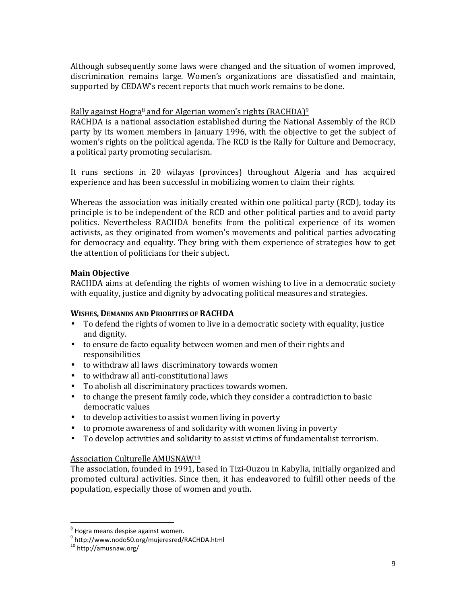Although subsequently some laws were changed and the situation of women improved, discrimination remains large. Women's organizations are dissatisfied and maintain, supported by CEDAW's recent reports that much work remains to be done.

#### Rally against Hogra<sup>8</sup> and for Algerian women's rights (RACHDA)<sup>9</sup>

RACHDA is a national association established during the National Assembly of the RCD party by its women members in January 1996, with the objective to get the subject of women's rights on the political agenda. The RCD is the Rally for Culture and Democracy, a political party promoting secularism.

It runs sections in 20 wilayas (provinces) throughout Algeria and has acquired experience and has been successful in mobilizing women to claim their rights.

Whereas the association was initially created within one political party (RCD), today its principle is to be independent of the RCD and other political parties and to avoid party politics. Nevertheless RACHDA benefits from the political experience of its women activists, as they originated from women's movements and political parties advocating for democracy and equality. They bring with them experience of strategies how to get the attention of politicians for their subject.

#### Main Objective

RACHDA aims at defending the rights of women wishing to live in a democratic society with equality, justice and dignity by advocating political measures and strategies.

#### WISHES, DEMANDS AND PRIORITIES OF RACHDA

- To defend the rights of women to live in a democratic society with equality, justice and dignity.
- to ensure de facto equality between women and men of their rights and responsibilities
- to withdraw all laws discriminatory towards women
- to withdraw all anti-constitutional laws
- To abolish all discriminatory practices towards women.
- to change the present family code, which they consider a contradiction to basic democratic values
- to develop activities to assist women living in poverty
- to promote awareness of and solidarity with women living in poverty
- To develop activities and solidarity to assist victims of fundamentalist terrorism.

#### Association Culturelle AMUSNAW<sup>10</sup>

The association, founded in 1991, based in Tizi-Ouzou in Kabylia, initially organized and promoted cultural activities. Since then, it has endeavored to fulfill other needs of the population, especially those of women and youth.

l,

<sup>&</sup>lt;sup>8</sup> Hogra means despise against women.

<sup>9</sup> http://www.nodo50.org/mujeresred/RACHDA.html

<sup>10</sup> http://amusnaw.org/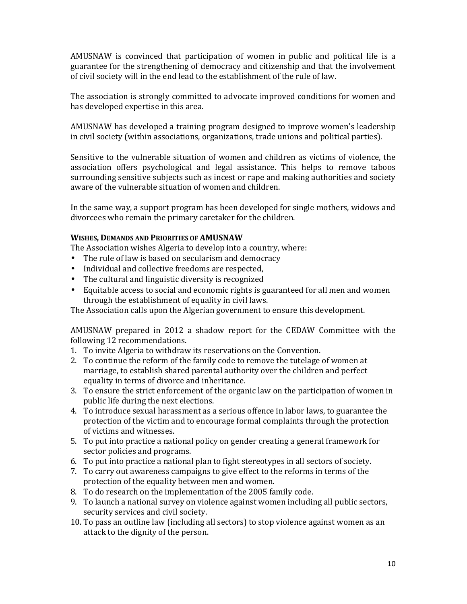AMUSNAW is convinced that participation of women in public and political life is a guarantee for the strengthening of democracy and citizenship and that the involvement of civil society will in the end lead to the establishment of the rule of law.

The association is strongly committed to advocate improved conditions for women and has developed expertise in this area.

AMUSNAW has developed a training program designed to improve women's leadership in civil society (within associations, organizations, trade unions and political parties).

Sensitive to the vulnerable situation of women and children as victims of violence, the association offers psychological and legal assistance. This helps to remove taboos surrounding sensitive subjects such as incest or rape and making authorities and society aware of the vulnerable situation of women and children.

In the same way, a support program has been developed for single mothers, widows and divorcees who remain the primary caretaker for the children.

#### WISHES, DEMANDS AND PRIORITIES OF AMUSNAW

The Association wishes Algeria to develop into a country, where:

- The rule of law is based on secularism and democracy
- Individual and collective freedoms are respected,
- The cultural and linguistic diversity is recognized
- Equitable access to social and economic rights is guaranteed for all men and women through the establishment of equality in civil laws.

The Association calls upon the Algerian government to ensure this development.

AMUSNAW prepared in 2012 a shadow report for the CEDAW Committee with the following 12 recommendations.

- 1. To invite Algeria to withdraw its reservations on the Convention.
- 2. To continue the reform of the family code to remove the tutelage of women at marriage, to establish shared parental authority over the children and perfect equality in terms of divorce and inheritance.
- 3. To ensure the strict enforcement of the organic law on the participation of women in public life during the next elections.
- 4. To introduce sexual harassment as a serious offence in labor laws, to guarantee the protection of the victim and to encourage formal complaints through the protection of victims and witnesses.
- 5. To put into practice a national policy on gender creating a general framework for sector policies and programs.
- 6. To put into practice a national plan to fight stereotypes in all sectors of society.
- 7. To carry out awareness campaigns to give effect to the reforms in terms of the protection of the equality between men and women.
- 8. To do research on the implementation of the 2005 family code.
- 9. To launch a national survey on violence against women including all public sectors, security services and civil society.
- 10. To pass an outline law (including all sectors) to stop violence against women as an attack to the dignity of the person.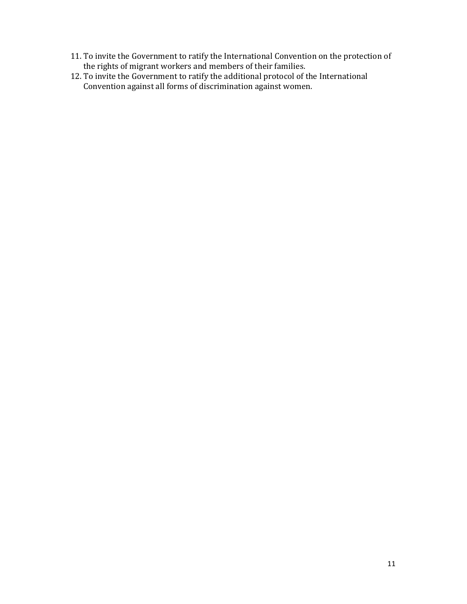- 11. To invite the Government to ratify the International Convention on the protection of the rights of migrant workers and members of their families.
- 12. To invite the Government to ratify the additional protocol of the International Convention against all forms of discrimination against women.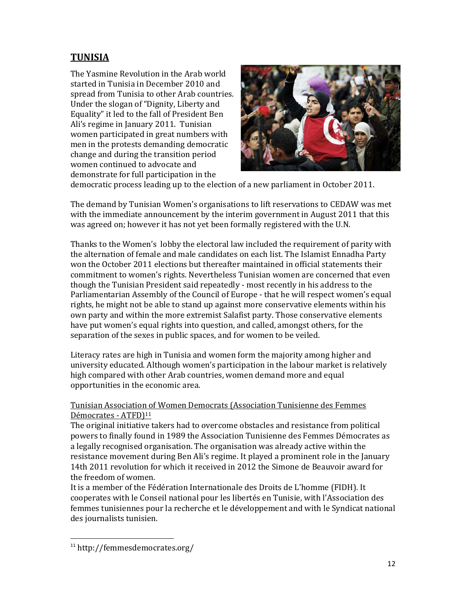## **TUNISIA**

The Yasmine Revolution in the Arab world started in Tunisia in December 2010 and spread from Tunisia to other Arab countries. Under the slogan of "Dignity, Liberty and Equality" it led to the fall of President Ben Ali's regime in January 2011. Tunisian women participated in great numbers with men in the protests demanding democratic change and during the transition period women continued to advocate and demonstrate for full participation in the



democratic process leading up to the election of a new parliament in October 2011.

The demand by Tunisian Women's organisations to lift reservations to CEDAW was met with the immediate announcement by the interim government in August 2011 that this was agreed on; however it has not yet been formally registered with the U.N.

Thanks to the Women's lobby the electoral law included the requirement of parity with the alternation of female and male candidates on each list. The Islamist Ennadha Party won the October 2011 elections but thereafter maintained in official statements their commitment to women's rights. Nevertheless Tunisian women are concerned that even though the Tunisian President said repeatedly - most recently in his address to the Parliamentarian Assembly of the Council of Europe - that he will respect women's equal rights, he might not be able to stand up against more conservative elements within his own party and within the more extremist Salafist party. Those conservative elements have put women's equal rights into question, and called, amongst others, for the separation of the sexes in public spaces, and for women to be veiled.

Literacy rates are high in Tunisia and women form the majority among higher and university educated. Although women's participation in the labour market is relatively high compared with other Arab countries, women demand more and equal opportunities in the economic area.

## Tunisian Association of Women Democrats (Association Tunisienne des Femmes Démocrates - ATFD)<sup>11</sup>

The original initiative takers had to overcome obstacles and resistance from political powers to finally found in 1989 the Association Tunisienne des Femmes Démocrates as a legally recognised organisation. The organisation was already active within the resistance movement during Ben Ali's regime. It played a prominent role in the January 14th 2011 revolution for which it received in 2012 the Simone de Beauvoir award for the freedom of women.

It is a member of the Fédération Internationale des Droits de L'homme (FIDH). It cooperates with le Conseil national pour les libertés en Tunisie, with l'Association des femmes tunisiennes pour la recherche et le développement and with le Syndicat national des journalists tunisien.

l,

<sup>11</sup> http://femmesdemocrates.org/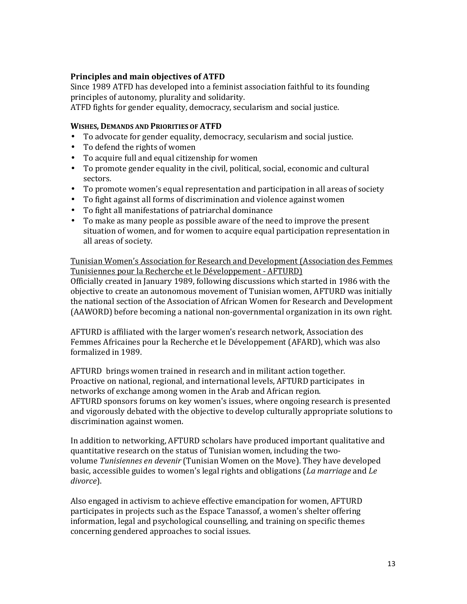#### Principles and main objectives of ATFD

Since 1989 ATFD has developed into a feminist association faithful to its founding principles of autonomy, plurality and solidarity.

ATFD fights for gender equality, democracy, secularism and social justice.

#### WISHES, DEMANDS AND PRIORITIES OF ATFD

- To advocate for gender equality, democracy, secularism and social justice.
- To defend the rights of women
- To acquire full and equal citizenship for women
- To promote gender equality in the civil, political, social, economic and cultural sectors.
- To promote women's equal representation and participation in all areas of society
- To fight against all forms of discrimination and violence against women
- To fight all manifestations of patriarchal dominance
- To make as many people as possible aware of the need to improve the present situation of women, and for women to acquire equal participation representation in all areas of society.

#### Tunisian Women's Association for Research and Development (Association des Femmes Tunisiennes pour la Recherche et le Développement - AFTURD)

Officially created in January 1989, following discussions which started in 1986 with the objective to create an autonomous movement of Tunisian women, AFTURD was initially the national section of the Association of African Women for Research and Development (AAWORD) before becoming a national non-governmental organization in its own right.

AFTURD is affiliated with the larger women's research network, Association des Femmes Africaines pour la Recherche et le Développement (AFARD), which was also formalized in 1989.

AFTURD brings women trained in research and in militant action together. Proactive on national, regional, and international levels, AFTURD participates in networks of exchange among women in the Arab and African region. AFTURD sponsors forums on key women's issues, where ongoing research is presented and vigorously debated with the objective to develop culturally appropriate solutions to discrimination against women.

In addition to networking, AFTURD scholars have produced important qualitative and quantitative research on the status of Tunisian women, including the twovolume Tunisiennes en devenir (Tunisian Women on the Move). They have developed basic, accessible guides to women's legal rights and obligations (La marriage and Le divorce).

Also engaged in activism to achieve effective emancipation for women, AFTURD participates in projects such as the Espace Tanassof, a women's shelter offering information, legal and psychological counselling, and training on specific themes concerning gendered approaches to social issues.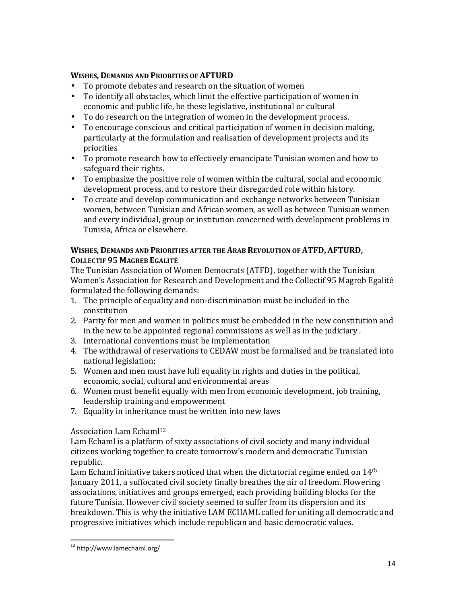#### WISHES, DEMANDS AND PRIORITIES OF AFTURD

- To promote debates and research on the situation of women
- To identify all obstacles, which limit the effective participation of women in economic and public life, be these legislative, institutional or cultural
- To do research on the integration of women in the development process.
- To encourage conscious and critical participation of women in decision making, particularly at the formulation and realisation of development projects and its priorities
- To promote research how to effectively emancipate Tunisian women and how to safeguard their rights.
- To emphasize the positive role of women within the cultural, social and economic development process, and to restore their disregarded role within history.
- To create and develop communication and exchange networks between Tunisian women, between Tunisian and African women, as well as between Tunisian women and every individual, group or institution concerned with development problems in Tunisia, Africa or elsewhere.

#### WISHES, DEMANDS AND PRIORITIES AFTER THE ARAB REVOLUTION OF ATFD, AFTURD, COLLECTIF 95 MAGREB EGALITÉ

The Tunisian Association of Women Democrats (ATFD), together with the Tunisian Women's Association for Research and Development and the Collectif 95 Magreb Egalité formulated the following demands:

- 1. The principle of equality and non-discrimination must be included in the constitution
- 2. Parity for men and women in politics must be embedded in the new constitution and in the new to be appointed regional commissions as well as in the judiciary .
- 3. International conventions must be implementation
- 4. The withdrawal of reservations to CEDAW must be formalised and be translated into national legislation;
- 5. Women and men must have full equality in rights and duties in the political, economic, social, cultural and environmental areas
- 6. Women must benefit equally with men from economic development, job training, leadership training and empowerment
- 7. Equality in inheritance must be written into new laws

## Association Lam Echaml<sup>12</sup>

Lam Echaml is a platform of sixty associations of civil society and many individual citizens working together to create tomorrow's modern and democratic Tunisian republic.

Lam Echaml initiative takers noticed that when the dictatorial regime ended on 14<sup>th</sup> January 2011, a suffocated civil society finally breathes the air of freedom. Flowering associations, initiatives and groups emerged, each providing building blocks for the future Tunisia. However civil society seemed to suffer from its dispersion and its breakdown. This is why the initiative LAM ECHAML called for uniting all democratic and progressive initiatives which include republican and basic democratic values.

<sup>12</sup> http://www.lamechaml.org/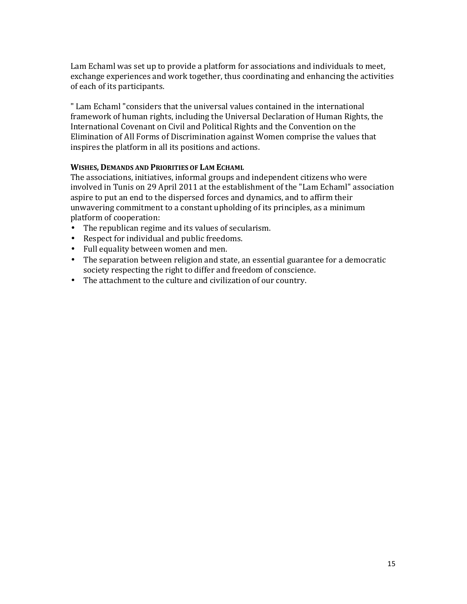Lam Echaml was set up to provide a platform for associations and individuals to meet, exchange experiences and work together, thus coordinating and enhancing the activities of each of its participants.

" Lam Echaml "considers that the universal values contained in the international framework of human rights, including the Universal Declaration of Human Rights, the International Covenant on Civil and Political Rights and the Convention on the Elimination of All Forms of Discrimination against Women comprise the values that inspires the platform in all its positions and actions.

#### WISHES, DEMANDS AND PRIORITIES OF LAM ECHAML

The associations, initiatives, informal groups and independent citizens who were involved in Tunis on 29 April 2011 at the establishment of the "Lam Echaml" association aspire to put an end to the dispersed forces and dynamics, and to affirm their unwavering commitment to a constant upholding of its principles, as a minimum platform of cooperation:

- The republican regime and its values of secularism.
- Respect for individual and public freedoms.
- Full equality between women and men.
- The separation between religion and state, an essential guarantee for a democratic society respecting the right to differ and freedom of conscience.
- The attachment to the culture and civilization of our country.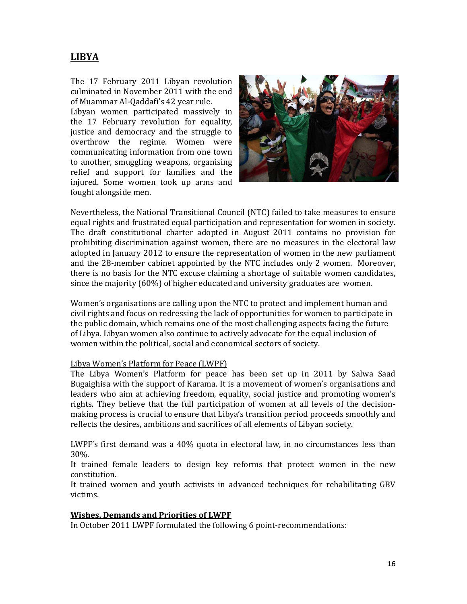## **LIBYA**

The 17 February 2011 Libyan revolution culminated in November 2011 with the end of Muammar Al-Qaddafi's 42 year rule.

Libyan women participated massively in the 17 February revolution for equality, justice and democracy and the struggle to overthrow the regime. Women were communicating information from one town to another, smuggling weapons, organising relief and support for families and the injured. Some women took up arms and fought alongside men.



Nevertheless, the National Transitional Council (NTC) failed to take measures to ensure equal rights and frustrated equal participation and representation for women in society. The draft constitutional charter adopted in August 2011 contains no provision for prohibiting discrimination against women, there are no measures in the electoral law adopted in January 2012 to ensure the representation of women in the new parliament and the 28-member cabinet appointed by the NTC includes only 2 women. Moreover, there is no basis for the NTC excuse claiming a shortage of suitable women candidates, since the majority (60%) of higher educated and university graduates are women.

Women's organisations are calling upon the NTC to protect and implement human and civil rights and focus on redressing the lack of opportunities for women to participate in the public domain, which remains one of the most challenging aspects facing the future of Libya. Libyan women also continue to actively advocate for the equal inclusion of women within the political, social and economical sectors of society.

#### Libya Women's Platform for Peace (LWPF)

The Libya Women's Platform for peace has been set up in 2011 by Salwa Saad Bugaighisa with the support of Karama. It is a movement of women's organisations and leaders who aim at achieving freedom, equality, social justice and promoting women's rights. They believe that the full participation of women at all levels of the decisionmaking process is crucial to ensure that Libya's transition period proceeds smoothly and reflects the desires, ambitions and sacrifices of all elements of Libyan society.

LWPF's first demand was a 40% quota in electoral law, in no circumstances less than 30%.

It trained female leaders to design key reforms that protect women in the new constitution.

It trained women and youth activists in advanced techniques for rehabilitating GBV victims.

#### Wishes, Demands and Priorities of LWPF

In October 2011 LWPF formulated the following 6 point-recommendations: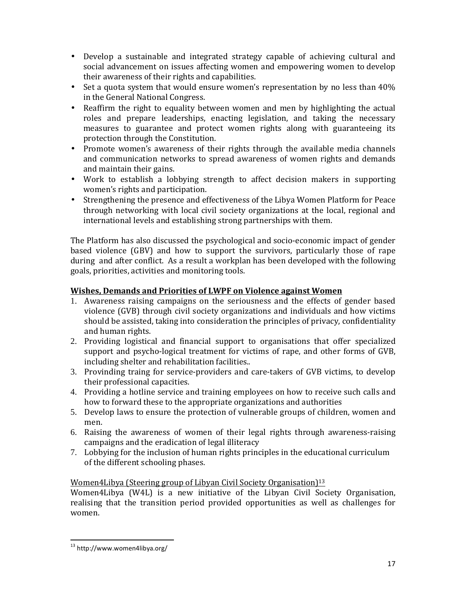- Develop a sustainable and integrated strategy capable of achieving cultural and social advancement on issues affecting women and empowering women to develop their awareness of their rights and capabilities.
- Set a quota system that would ensure women's representation by no less than  $40\%$ in the General National Congress.
- Reaffirm the right to equality between women and men by highlighting the actual roles and prepare leaderships, enacting legislation, and taking the necessary measures to guarantee and protect women rights along with guaranteeing its protection through the Constitution.
- Promote women's awareness of their rights through the available media channels and communication networks to spread awareness of women rights and demands and maintain their gains.
- Work to establish a lobbying strength to affect decision makers in supporting women's rights and participation.
- Strengthening the presence and effectiveness of the Libya Women Platform for Peace through networking with local civil society organizations at the local, regional and international levels and establishing strong partnerships with them.

The Platform has also discussed the psychological and socio-economic impact of gender based violence (GBV) and how to support the survivors, particularly those of rape during and after conflict. As a result a workplan has been developed with the following goals, priorities, activities and monitoring tools.

## Wishes, Demands and Priorities of LWPF on Violence against Women

- 1. Awareness raising campaigns on the seriousness and the effects of gender based violence (GVB) through civil society organizations and individuals and how victims should be assisted, taking into consideration the principles of privacy, confidentiality and human rights.
- 2. Providing logistical and financial support to organisations that offer specialized support and psycho-logical treatment for victims of rape, and other forms of GVB, including shelter and rehabilitation facilities..
- 3. Provinding traing for service-providers and care-takers of GVB victims, to develop their professional capacities.
- 4. Providing a hotline service and training employees on how to receive such calls and how to forward these to the appropriate organizations and authorities
- 5. Develop laws to ensure the protection of vulnerable groups of children, women and men.
- 6. Raising the awareness of women of their legal rights through awareness-raising campaigns and the eradication of legal illiteracy
- 7. Lobbying for the inclusion of human rights principles in the educational curriculum of the different schooling phases.

## Women4Libya (Steering group of Libyan Civil Society Organisation)<sup>13</sup>

Women4Libya (W4L) is a new initiative of the Libyan Civil Society Organisation, realising that the transition period provided opportunities as well as challenges for women.

<sup>13</sup> http://www.women4libya.org/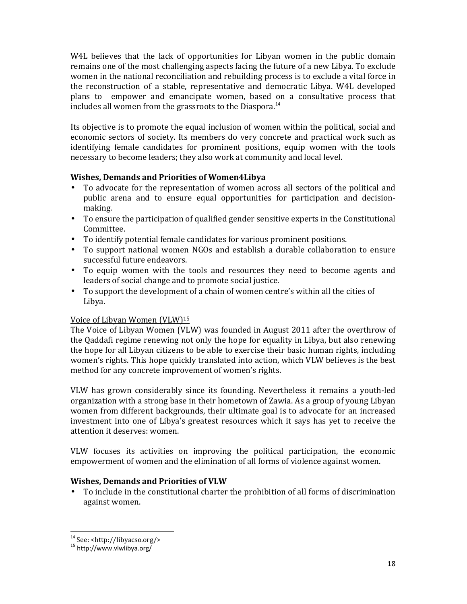W4L believes that the lack of opportunities for Libyan women in the public domain remains one of the most challenging aspects facing the future of a new Libya. To exclude women in the national reconciliation and rebuilding process is to exclude a vital force in the reconstruction of a stable, representative and democratic Libya. W4L developed plans to empower and emancipate women, based on a consultative process that includes all women from the grassroots to the Diaspora.<sup>14</sup>

Its objective is to promote the equal inclusion of women within the political, social and economic sectors of society. Its members do very concrete and practical work such as identifying female candidates for prominent positions, equip women with the tools necessary to become leaders; they also work at community and local level.

#### Wishes, Demands and Priorities of Women4Libya

- To advocate for the representation of women across all sectors of the political and public arena and to ensure equal opportunities for participation and decisionmaking.
- To ensure the participation of qualified gender sensitive experts in the Constitutional Committee.
- To identify potential female candidates for various prominent positions.
- To support national women NGOs and establish a durable collaboration to ensure successful future endeavors.
- To equip women with the tools and resources they need to become agents and leaders of social change and to promote social justice.
- To support the development of a chain of women centre's within all the cities of Libya.

#### Voice of Libyan Women (VLW)<sup>15</sup>

The Voice of Libyan Women (VLW) was founded in August 2011 after the overthrow of the Qaddafi regime renewing not only the hope for equality in Libya, but also renewing the hope for all Libyan citizens to be able to exercise their basic human rights, including women's rights. This hope quickly translated into action, which VLW believes is the best method for any concrete improvement of women's rights.

VLW has grown considerably since its founding. Nevertheless it remains a youth-led organization with a strong base in their hometown of Zawia. As a group of young Libyan women from different backgrounds, their ultimate goal is to advocate for an increased investment into one of Libya's greatest resources which it says has yet to receive the attention it deserves: women.

VLW focuses its activities on improving the political participation, the economic empowerment of women and the elimination of all forms of violence against women.

#### Wishes, Demands and Priorities of VLW

• To include in the constitutional charter the prohibition of all forms of discrimination against women.

l,

<sup>14</sup> See: <http://libyacso.org/>

<sup>15</sup> http://www.vlwlibya.org/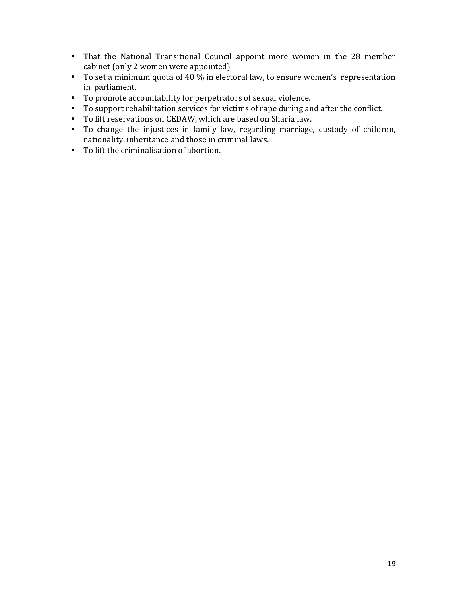- That the National Transitional Council appoint more women in the 28 member cabinet (only 2 women were appointed)
- To set a minimum quota of 40 % in electoral law, to ensure women's representation in parliament.
- To promote accountability for perpetrators of sexual violence.
- To support rehabilitation services for victims of rape during and after the conflict.
- To lift reservations on CEDAW, which are based on Sharia law.
- To change the injustices in family law, regarding marriage, custody of children, nationality, inheritance and those in criminal laws.
- To lift the criminalisation of abortion.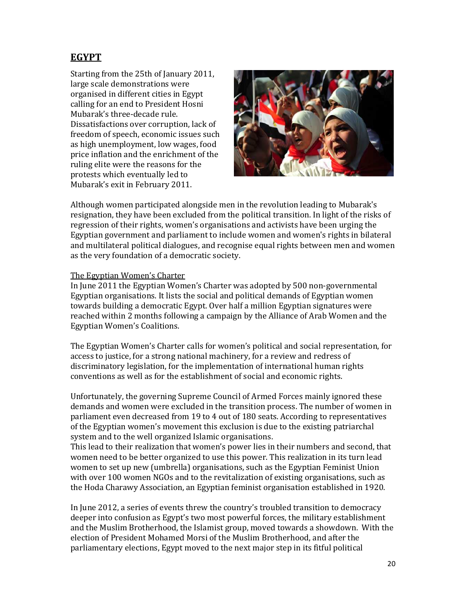## EGYPT

Starting from the 25th of January 2011, large scale demonstrations were organised in different cities in Egypt calling for an end to President Hosni Mubarak's three-decade rule. Dissatisfactions over corruption, lack of freedom of speech, economic issues such as high unemployment, low wages, food price inflation and the enrichment of the ruling elite were the reasons for the protests which eventually led to Mubarak's exit in February 2011.



Although women participated alongside men in the revolution leading to Mubarak's resignation, they have been excluded from the political transition. In light of the risks of regression of their rights, women's organisations and activists have been urging the Egyptian government and parliament to include women and women's rights in bilateral and multilateral political dialogues, and recognise equal rights between men and women as the very foundation of a democratic society.

#### The Egyptian Women's Charter

In June 2011 the Egyptian Women's Charter was adopted by 500 non-governmental Egyptian organisations. It lists the social and political demands of Egyptian women towards building a democratic Egypt. Over half a million Egyptian signatures were reached within 2 months following a campaign by the Alliance of Arab Women and the Egyptian Women's Coalitions.

The Egyptian Women's Charter calls for women's political and social representation, for access to justice, for a strong national machinery, for a review and redress of discriminatory legislation, for the implementation of international human rights conventions as well as for the establishment of social and economic rights.

Unfortunately, the governing Supreme Council of Armed Forces mainly ignored these demands and women were excluded in the transition process. The number of women in parliament even decreased from 19 to 4 out of 180 seats. According to representatives of the Egyptian women's movement this exclusion is due to the existing patriarchal system and to the well organized Islamic organisations.

This lead to their realization that women's power lies in their numbers and second, that women need to be better organized to use this power. This realization in its turn lead women to set up new (umbrella) organisations, such as the Egyptian Feminist Union with over 100 women NGOs and to the revitalization of existing organisations, such as the Hoda Charawy Association, an Egyptian feminist organisation established in 1920.

In June 2012, a series of events threw the country's troubled transition to democracy deeper into confusion as Egypt's two most powerful forces, the military establishment and the Muslim Brotherhood, the Islamist group, moved towards a showdown. With the election of President Mohamed Morsi of the Muslim Brotherhood, and after the parliamentary elections, Egypt moved to the next major step in its fitful political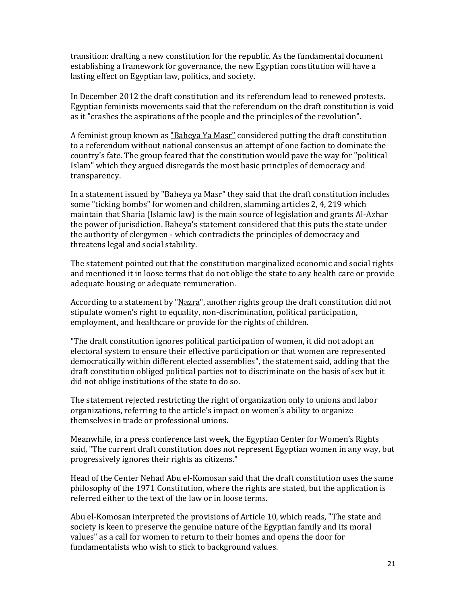transition: drafting a new constitution for the republic. As the fundamental document establishing a framework for governance, the new Egyptian constitution will have a lasting effect on Egyptian law, politics, and society.

In December 2012 the draft constitution and its referendum lead to renewed protests. Egyptian feminists movements said that the referendum on the draft constitution is void as it "crashes the aspirations of the people and the principles of the revolution".

A feminist group known as "Baheya Ya Masr" considered putting the draft constitution to a referendum without national consensus an attempt of one faction to dominate the country's fate. The group feared that the constitution would pave the way for "political Islam" which they argued disregards the most basic principles of democracy and transparency.

In a statement issued by "Baheya ya Masr" they said that the draft constitution includes some "ticking bombs" for women and children, slamming articles 2, 4, 219 which maintain that Sharia (Islamic law) is the main source of legislation and grants Al-Azhar the power of jurisdiction. Baheya's statement considered that this puts the state under the authority of clergymen - which contradicts the principles of democracy and threatens legal and social stability.

The statement pointed out that the constitution marginalized economic and social rights and mentioned it in loose terms that do not oblige the state to any health care or provide adequate housing or adequate remuneration.

According to a statement by "Nazra", another rights group the draft constitution did not stipulate women's right to equality, non-discrimination, political participation, employment, and healthcare or provide for the rights of children.

"The draft constitution ignores political participation of women, it did not adopt an electoral system to ensure their effective participation or that women are represented democratically within different elected assemblies", the statement said, adding that the draft constitution obliged political parties not to discriminate on the basis of sex but it did not oblige institutions of the state to do so.

The statement rejected restricting the right of organization only to unions and labor organizations, referring to the article's impact on women's ability to organize themselves in trade or professional unions.

Meanwhile, in a press conference last week, the Egyptian Center for Women's Rights said, "The current draft constitution does not represent Egyptian women in any way, but progressively ignores their rights as citizens."

Head of the Center Nehad Abu el-Komosan said that the draft constitution uses the same philosophy of the 1971 Constitution, where the rights are stated, but the application is referred either to the text of the law or in loose terms.

Abu el-Komosan interpreted the provisions of Article 10, which reads, "The state and society is keen to preserve the genuine nature of the Egyptian family and its moral values" as a call for women to return to their homes and opens the door for fundamentalists who wish to stick to background values.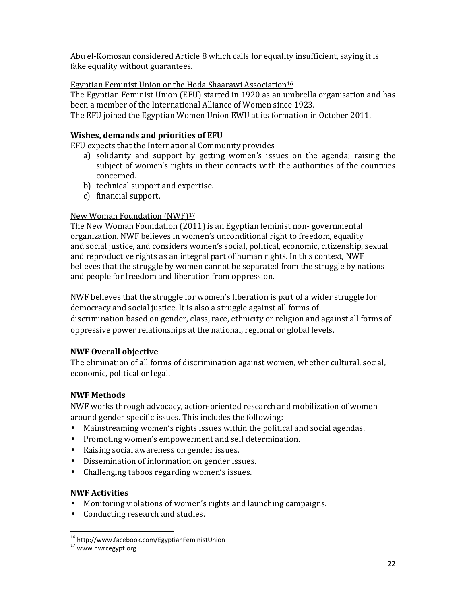Abu el-Komosan considered Article 8 which calls for equality insufficient, saying it is fake equality without guarantees.

#### Egyptian Feminist Union or the Hoda Shaarawi Association<sup>16</sup>

The Egyptian Feminist Union (EFU) started in 1920 as an umbrella organisation and has been a member of the International Alliance of Women since 1923. The EFU joined the Egyptian Women Union EWU at its formation in October 2011.

#### Wishes, demands and priorities of EFU

EFU expects that the International Community provides

- a) solidarity and support by getting women's issues on the agenda; raising the subject of women's rights in their contacts with the authorities of the countries concerned.
- b) technical support and expertise.
- c) financial support.

## New Woman Foundation (NWF)<sup>17</sup>

The New Woman Foundation (2011) is an Egyptian feminist non- governmental organization. NWF believes in women's unconditional right to freedom, equality and social justice, and considers women's social, political, economic, citizenship, sexual and reproductive rights as an integral part of human rights. In this context, NWF believes that the struggle by women cannot be separated from the struggle by nations and people for freedom and liberation from oppression.

NWF believes that the struggle for women's liberation is part of a wider struggle for democracy and social justice. It is also a struggle against all forms of discrimination based on gender, class, race, ethnicity or religion and against all forms of oppressive power relationships at the national, regional or global levels.

## NWF Overall objective

The elimination of all forms of discrimination against women, whether cultural, social, economic, political or legal.

## NWF Methods

NWF works through advocacy, action-oriented research and mobilization of women around gender specific issues. This includes the following:

- Mainstreaming women's rights issues within the political and social agendas.
- Promoting women's empowerment and self determination.
- Raising social awareness on gender issues.
- Dissemination of information on gender issues.
- Challenging taboos regarding women's issues.

#### NWF Activities

l,

- Monitoring violations of women's rights and launching campaigns.
- Conducting research and studies.

<sup>&</sup>lt;sup>16</sup> http://www.facebook.com/EgyptianFeministUnion

<sup>17</sup> www.nwrcegypt.org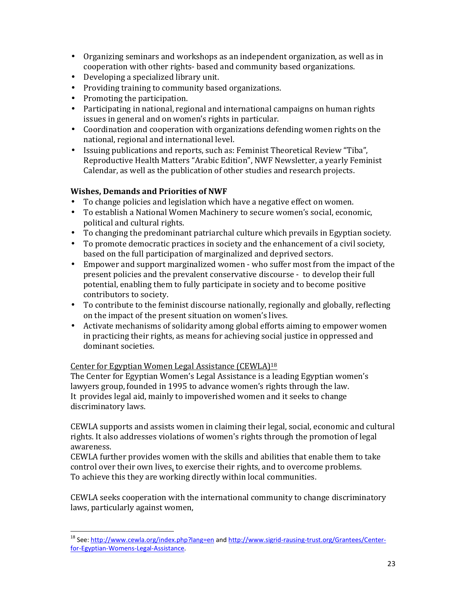- Organizing seminars and workshops as an independent organization, as well as in cooperation with other rights- based and community based organizations.
- Developing a specialized library unit.
- Providing training to community based organizations.
- Promoting the participation.
- Participating in national, regional and international campaigns on human rights issues in general and on women's rights in particular.
- Coordination and cooperation with organizations defending women rights on the national, regional and international level.
- Issuing publications and reports, such as: Feminist Theoretical Review "Tiba", Reproductive Health Matters "Arabic Edition", NWF Newsletter, a yearly Feminist Calendar, as well as the publication of other studies and research projects.

## Wishes, Demands and Priorities of NWF

- To change policies and legislation which have a negative effect on women.
- To establish a National Women Machinery to secure women's social, economic, political and cultural rights.
- To changing the predominant patriarchal culture which prevails in Egyptian society.
- To promote democratic practices in society and the enhancement of a civil society, based on the full participation of marginalized and deprived sectors.
- Empower and support marginalized women who suffer most from the impact of the present policies and the prevalent conservative discourse - to develop their full potential, enabling them to fully participate in society and to become positive contributors to society.
- To contribute to the feminist discourse nationally, regionally and globally, reflecting on the impact of the present situation on women's lives.
- Activate mechanisms of solidarity among global efforts aiming to empower women in practicing their rights, as means for achieving social justice in oppressed and dominant societies.

## Center for Egyptian Women Legal Assistance (CEWLA)<sup>18</sup>

l,

The Center for Egyptian Women's Legal Assistance is a leading Egyptian women's lawyers group, founded in 1995 to advance women's rights through the law. It provides legal aid, mainly to impoverished women and it seeks to change discriminatory laws.

CEWLA supports and assists women in claiming their legal, social, economic and cultural rights. It also addresses violations of women's rights through the promotion of legal awareness.

CEWLA further provides women with the skills and abilities that enable them to take control over their own lives, to exercise their rights, and to overcome problems. To achieve this they are working directly within local communities.

CEWLA seeks cooperation with the international community to change discriminatory laws, particularly against women,

<sup>&</sup>lt;sup>18</sup> See: http://www.cewla.org/index.php?lang=en and http://www.sigrid-rausing-trust.org/Grantees/Centerfor-Egyptian-Womens-Legal-Assistance.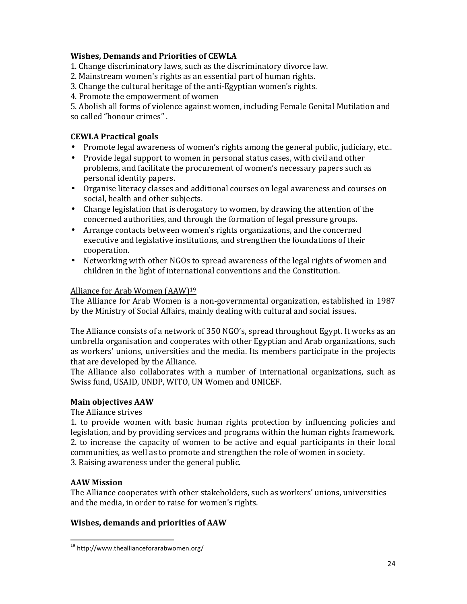#### Wishes, Demands and Priorities of CEWLA

- 1. Change discriminatory laws, such as the discriminatory divorce law.
- 2. Mainstream women's rights as an essential part of human rights.
- 3. Change the cultural heritage of the anti-Egyptian women's rights.
- 4. Promote the empowerment of women

5. Abolish all forms of violence against women, including Female Genital Mutilation and so called "honour crimes" .

## CEWLA Practical goals

- Promote legal awareness of women's rights among the general public, judiciary, etc..
- Provide legal support to women in personal status cases, with civil and other problems, and facilitate the procurement of women's necessary papers such as personal identity papers.
- Organise literacy classes and additional courses on legal awareness and courses on social, health and other subjects.
- Change legislation that is derogatory to women, by drawing the attention of the concerned authorities, and through the formation of legal pressure groups.
- Arrange contacts between women's rights organizations, and the concerned executive and legislative institutions, and strengthen the foundations of their cooperation.
- Networking with other NGOs to spread awareness of the legal rights of women and children in the light of international conventions and the Constitution.

#### Alliance for Arab Women (AAW)<sup>19</sup>

The Alliance for Arab Women is a non-governmental organization, established in 1987 by the Ministry of Social Affairs, mainly dealing with cultural and social issues.

The Alliance consists of a network of 350 NGO's, spread throughout Egypt. It works as an umbrella organisation and cooperates with other Egyptian and Arab organizations, such as workers' unions, universities and the media. Its members participate in the projects that are developed by the Alliance.

The Alliance also collaborates with a number of international organizations, such as Swiss fund, USAID, UNDP, WITO, UN Women and UNICEF.

## Main objectives AAW

#### The Alliance strives

1. to provide women with basic human rights protection by influencing policies and legislation, and by providing services and programs within the human rights framework. 2. to increase the capacity of women to be active and equal participants in their local communities, as well as to promote and strengthen the role of women in society. 3. Raising awareness under the general public.

#### AAW Mission

1

The Alliance cooperates with other stakeholders, such as workers' unions, universities and the media, in order to raise for women's rights.

## Wishes, demands and priorities of AAW

<sup>19</sup> http://www.theallianceforarabwomen.org/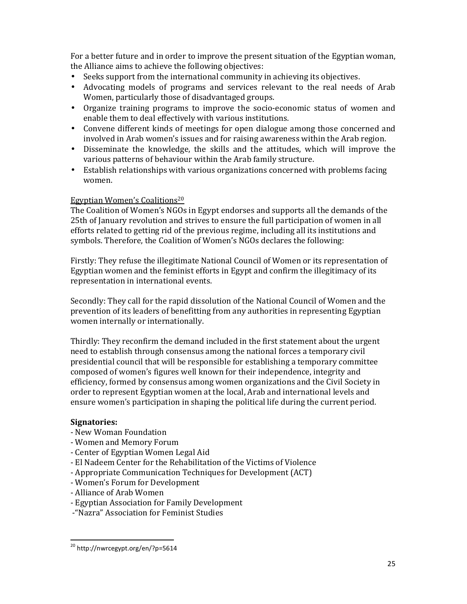For a better future and in order to improve the present situation of the Egyptian woman, the Alliance aims to achieve the following objectives:

- Seeks support from the international community in achieving its objectives.
- Advocating models of programs and services relevant to the real needs of Arab Women, particularly those of disadvantaged groups.
- Organize training programs to improve the socio-economic status of women and enable them to deal effectively with various institutions.
- Convene different kinds of meetings for open dialogue among those concerned and involved in Arab women's issues and for raising awareness within the Arab region.
- Disseminate the knowledge, the skills and the attitudes, which will improve the various patterns of behaviour within the Arab family structure.
- Establish relationships with various organizations concerned with problems facing women.

#### Egyptian Women's Coalitions<sup>20</sup>

The Coalition of Women's NGOs in Egypt endorses and supports all the demands of the 25th of January revolution and strives to ensure the full participation of women in all efforts related to getting rid of the previous regime, including all its institutions and symbols. Therefore, the Coalition of Women's NGOs declares the following:

Firstly: They refuse the illegitimate National Council of Women or its representation of Egyptian women and the feminist efforts in Egypt and confirm the illegitimacy of its representation in international events.

Secondly: They call for the rapid dissolution of the National Council of Women and the prevention of its leaders of benefitting from any authorities in representing Egyptian women internally or internationally.

Thirdly: They reconfirm the demand included in the first statement about the urgent need to establish through consensus among the national forces a temporary civil presidential council that will be responsible for establishing a temporary committee composed of women's figures well known for their independence, integrity and efficiency, formed by consensus among women organizations and the Civil Society in order to represent Egyptian women at the local, Arab and international levels and ensure women's participation in shaping the political life during the current period.

#### Signatories:

- New Woman Foundation
- Women and Memory Forum
- Center of Egyptian Women Legal Aid
- El Nadeem Center for the Rehabilitation of the Victims of Violence
- Appropriate Communication Techniques for Development (ACT)
- Women's Forum for Development
- Alliance of Arab Women
- Egyptian Association for Family Development
- -"Nazra" Association for Feminist Studies

 $^{20}$  http://nwrcegypt.org/en/?p=5614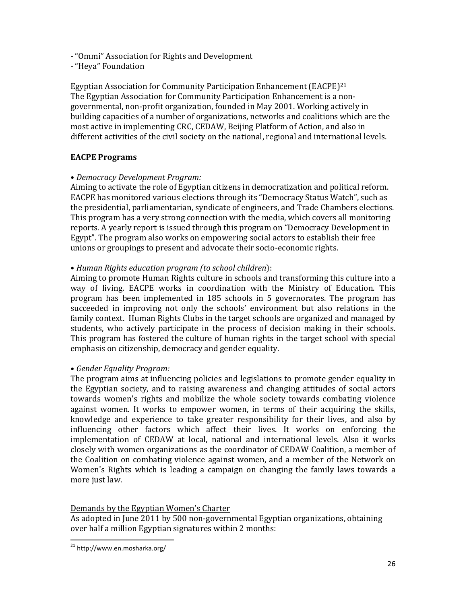- "Ommi" Association for Rights and Development
- "Heya" Foundation

#### Egyptian Association for Community Participation Enhancement (EACPE)<sup>21</sup>

The Egyptian Association for Community Participation Enhancement is a nongovernmental, non-profit organization, founded in May 2001. Working actively in building capacities of a number of organizations, networks and coalitions which are the most active in implementing CRC, CEDAW, Beijing Platform of Action, and also in different activities of the civil society on the national, regional and international levels.

#### EACPE Programs

#### • Democracy Development Program:

Aiming to activate the role of Egyptian citizens in democratization and political reform. EACPE has monitored various elections through its "Democracy Status Watch", such as the presidential, parliamentarian, syndicate of engineers, and Trade Chambers elections. This program has a very strong connection with the media, which covers all monitoring reports. A yearly report is issued through this program on "Democracy Development in Egypt". The program also works on empowering social actors to establish their free unions or groupings to present and advocate their socio-economic rights.

#### • Human Rights education program (to school children):

Aiming to promote Human Rights culture in schools and transforming this culture into a way of living. EACPE works in coordination with the Ministry of Education. This program has been implemented in 185 schools in 5 governorates. The program has succeeded in improving not only the schools' environment but also relations in the family context. Human Rights Clubs in the target schools are organized and managed by students, who actively participate in the process of decision making in their schools. This program has fostered the culture of human rights in the target school with special emphasis on citizenship, democracy and gender equality.

#### • Gender Equality Program:

The program aims at influencing policies and legislations to promote gender equality in the Egyptian society, and to raising awareness and changing attitudes of social actors towards women's rights and mobilize the whole society towards combating violence against women. It works to empower women, in terms of their acquiring the skills, knowledge and experience to take greater responsibility for their lives, and also by influencing other factors which affect their lives. It works on enforcing the implementation of CEDAW at local, national and international levels. Also it works closely with women organizations as the coordinator of CEDAW Coalition, a member of the Coalition on combating violence against women, and a member of the Network on Women's Rights which is leading a campaign on changing the family laws towards a more just law.

#### Demands by the Egyptian Women's Charter

As adopted in June 2011 by 500 non-governmental Egyptian organizations, obtaining over half a million Egyptian signatures within 2 months:

 $^{21}$  http://www.en.mosharka.org/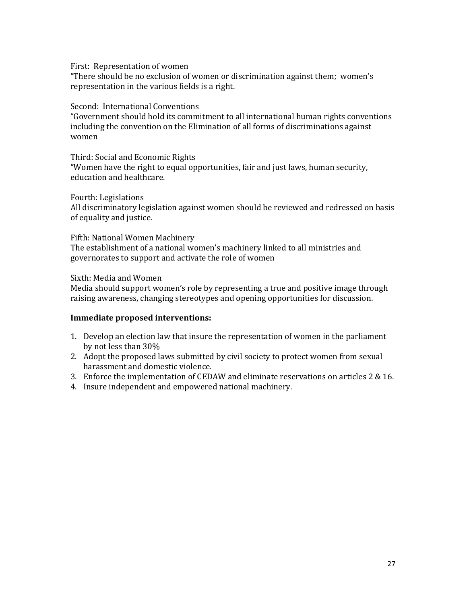First: Representation of women

"There should be no exclusion of women or discrimination against them; women's representation in the various fields is a right.

Second: International Conventions

"Government should hold its commitment to all international human rights conventions including the convention on the Elimination of all forms of discriminations against women

Third: Social and Economic Rights "Women have the right to equal opportunities, fair and just laws, human security, education and healthcare.

Fourth: Legislations

All discriminatory legislation against women should be reviewed and redressed on basis of equality and justice.

Fifth: National Women Machinery

The establishment of a national women's machinery linked to all ministries and governorates to support and activate the role of women

Sixth: Media and Women

Media should support women's role by representing a true and positive image through raising awareness, changing stereotypes and opening opportunities for discussion.

#### Immediate proposed interventions:

- 1. Develop an election law that insure the representation of women in the parliament by not less than 30%
- 2. Adopt the proposed laws submitted by civil society to protect women from sexual harassment and domestic violence.
- 3. Enforce the implementation of CEDAW and eliminate reservations on articles 2 & 16.
- 4. Insure independent and empowered national machinery.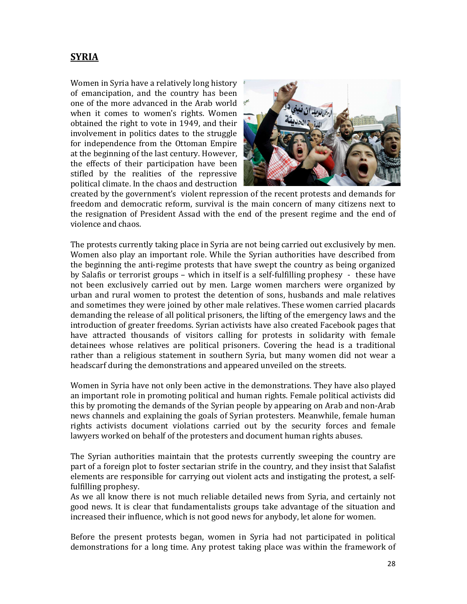## **SYRIA**

Women in Syria have a relatively long history of emancipation, and the country has been one of the more advanced in the Arab world when it comes to women's rights. Women obtained the right to vote in 1949, and their involvement in politics dates to the struggle for independence from the Ottoman Empire at the beginning of the last century. However, the effects of their participation have been stifled by the realities of the repressive political climate. In the chaos and destruction



created by the government's violent repression of the recent protests and demands for freedom and democratic reform, survival is the main concern of many citizens next to the resignation of President Assad with the end of the present regime and the end of violence and chaos.

The protests currently taking place in Syria are not being carried out exclusively by men. Women also play an important role. While the Syrian authorities have described from the beginning the anti-regime protests that have swept the country as being organized by Salafis or terrorist groups – which in itself is a self-fulfilling prophesy - these have not been exclusively carried out by men. Large women marchers were organized by urban and rural women to protest the detention of sons, husbands and male relatives and sometimes they were joined by other male relatives. These women carried placards demanding the release of all political prisoners, the lifting of the emergency laws and the introduction of greater freedoms. Syrian activists have also created Facebook pages that have attracted thousands of visitors calling for protests in solidarity with female detainees whose relatives are political prisoners. Covering the head is a traditional rather than a religious statement in southern Syria, but many women did not wear a headscarf during the demonstrations and appeared unveiled on the streets.

Women in Syria have not only been active in the demonstrations. They have also played an important role in promoting political and human rights. Female political activists did this by promoting the demands of the Syrian people by appearing on Arab and non-Arab news channels and explaining the goals of Syrian protesters. Meanwhile, female human rights activists document violations carried out by the security forces and female lawyers worked on behalf of the protesters and document human rights abuses.

The Syrian authorities maintain that the protests currently sweeping the country are part of a foreign plot to foster sectarian strife in the country, and they insist that Salafist elements are responsible for carrying out violent acts and instigating the protest, a selffulfilling prophesy.

As we all know there is not much reliable detailed news from Syria, and certainly not good news. It is clear that fundamentalists groups take advantage of the situation and increased their influence, which is not good news for anybody, let alone for women.

Before the present protests began, women in Syria had not participated in political demonstrations for a long time. Any protest taking place was within the framework of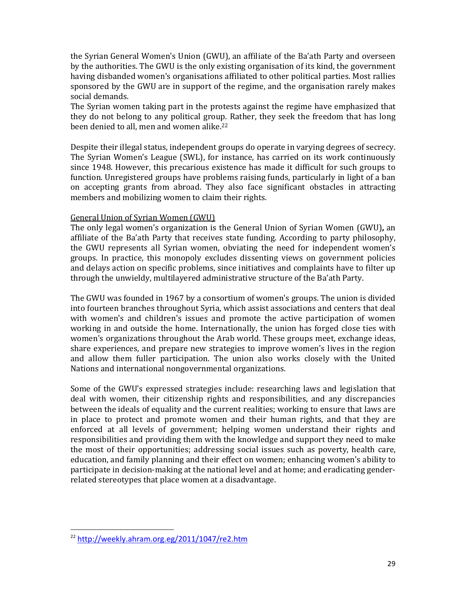the Syrian General Women's Union (GWU), an affiliate of the Ba'ath Party and overseen by the authorities. The GWU is the only existing organisation of its kind, the government having disbanded women's organisations affiliated to other political parties. Most rallies sponsored by the GWU are in support of the regime, and the organisation rarely makes social demands.

The Syrian women taking part in the protests against the regime have emphasized that they do not belong to any political group. Rather, they seek the freedom that has long been denied to all, men and women alike.<sup>22</sup>

Despite their illegal status, independent groups do operate in varying degrees of secrecy. The Syrian Women's League (SWL), for instance, has carried on its work continuously since 1948. However, this precarious existence has made it difficult for such groups to function. Unregistered groups have problems raising funds, particularly in light of a ban on accepting grants from abroad. They also face significant obstacles in attracting members and mobilizing women to claim their rights.

#### General Union of Syrian Women (GWU)

The only legal women's organization is the General Union of Syrian Women (GWU), an affiliate of the Ba'ath Party that receives state funding. According to party philosophy, the GWU represents all Syrian women, obviating the need for independent women's groups. In practice, this monopoly excludes dissenting views on government policies and delays action on specific problems, since initiatives and complaints have to filter up through the unwieldy, multilayered administrative structure of the Ba'ath Party.

The GWU was founded in 1967 by a consortium of women's groups. The union is divided into fourteen branches throughout Syria, which assist associations and centers that deal with women's and children's issues and promote the active participation of women working in and outside the home. Internationally, the union has forged close ties with women's organizations throughout the Arab world. These groups meet, exchange ideas, share experiences, and prepare new strategies to improve women's lives in the region and allow them fuller participation. The union also works closely with the United Nations and international nongovernmental organizations.

Some of the GWU's expressed strategies include: researching laws and legislation that deal with women, their citizenship rights and responsibilities, and any discrepancies between the ideals of equality and the current realities; working to ensure that laws are in place to protect and promote women and their human rights, and that they are enforced at all levels of government; helping women understand their rights and responsibilities and providing them with the knowledge and support they need to make the most of their opportunities; addressing social issues such as poverty, health care, education, and family planning and their effect on women; enhancing women's ability to participate in decision-making at the national level and at home; and eradicating genderrelated stereotypes that place women at a disadvantage.

l,

<sup>22</sup> http://weekly.ahram.org.eg/2011/1047/re2.htm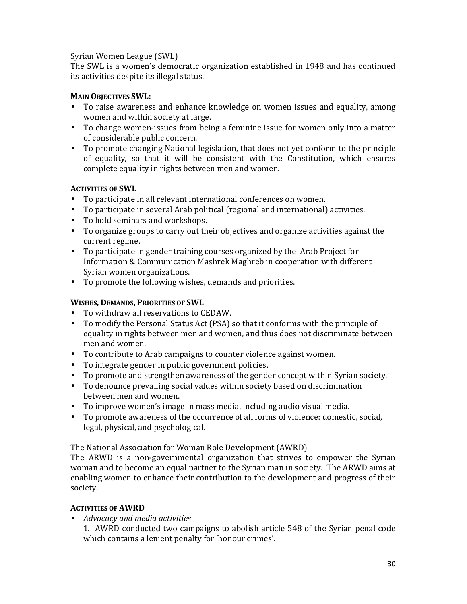#### Syrian Women League (SWL)

The SWL is a women's democratic organization established in 1948 and has continued its activities despite its illegal status.

#### MAIN OBJECTIVES SWL:

- To raise awareness and enhance knowledge on women issues and equality, among women and within society at large.
- To change women-issues from being a feminine issue for women only into a matter of considerable public concern.
- To promote changing National legislation, that does not yet conform to the principle of equality, so that it will be consistent with the Constitution, which ensures complete equality in rights between men and women.

#### ACTIVITIES OF SWL

- To participate in all relevant international conferences on women.
- To participate in several Arab political (regional and international) activities.
- To hold seminars and workshops.
- To organize groups to carry out their objectives and organize activities against the current regime.
- To participate in gender training courses organized by the Arab Project for Information & Communication Mashrek Maghreb in cooperation with different Syrian women organizations.
- To promote the following wishes, demands and priorities.

#### WISHES, DEMANDS, PRIORITIES OF SWL

- To withdraw all reservations to CEDAW.
- To modify the Personal Status Act (PSA) so that it conforms with the principle of equality in rights between men and women, and thus does not discriminate between men and women.
- To contribute to Arab campaigns to counter violence against women.
- To integrate gender in public government policies.
- To promote and strengthen awareness of the gender concept within Syrian society.
- To denounce prevailing social values within society based on discrimination between men and women.
- To improve women's image in mass media, including audio visual media.
- To promote awareness of the occurrence of all forms of violence: domestic, social, legal, physical, and psychological.

#### The National Association for Woman Role Development (AWRD)

The ARWD is a non-governmental organization that strives to empower the Syrian woman and to become an equal partner to the Syrian man in society. The ARWD aims at enabling women to enhance their contribution to the development and progress of their society.

#### ACTIVITIES OF AWRD

• Advocacy and media activities

1. AWRD conducted two campaigns to abolish article 548 of the Syrian penal code which contains a lenient penalty for 'honour crimes'.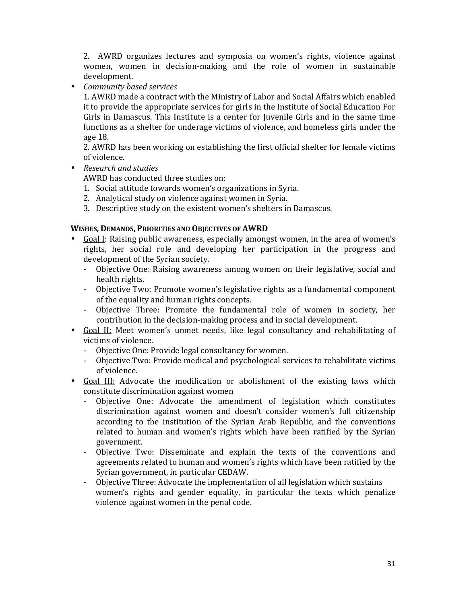2. AWRD organizes lectures and symposia on women's rights, violence against women, women in decision-making and the role of women in sustainable development.

• Community based services

1. AWRD made a contract with the Ministry of Labor and Social Affairs which enabled it to provide the appropriate services for girls in the Institute of Social Education For Girls in Damascus. This Institute is a center for Juvenile Girls and in the same time functions as a shelter for underage victims of violence, and homeless girls under the age 18.

2. AWRD has been working on establishing the first official shelter for female victims of violence.

• Research and studies

AWRD has conducted three studies on:

- 1. Social attitude towards women's organizations in Syria.
- 2. Analytical study on violence against women in Syria.
- 3. Descriptive study on the existent women's shelters in Damascus.

#### WISHES, DEMANDS, PRIORITIES AND OBJECTIVES OF AWRD

- Goal I: Raising public awareness, especially amongst women, in the area of women's rights, her social role and developing her participation in the progress and development of the Syrian society.
	- Objective One: Raising awareness among women on their legislative, social and health rights.
	- Objective Two: Promote women's legislative rights as a fundamental component of the equality and human rights concepts.
	- Objective Three: Promote the fundamental role of women in society, her contribution in the decision-making process and in social development.
- Goal II: Meet women's unmet needs, like legal consultancy and rehabilitating of victims of violence.
	- Objective One: Provide legal consultancy for women.
	- Objective Two: Provide medical and psychological services to rehabilitate victims of violence.
- Goal III: Advocate the modification or abolishment of the existing laws which constitute discrimination against women
	- Objective One: Advocate the amendment of legislation which constitutes discrimination against women and doesn't consider women's full citizenship according to the institution of the Syrian Arab Republic, and the conventions related to human and women's rights which have been ratified by the Syrian government.
	- Objective Two: Disseminate and explain the texts of the conventions and agreements related to human and women's rights which have been ratified by the Syrian government, in particular CEDAW.
	- Objective Three: Advocate the implementation of all legislation which sustains women's rights and gender equality, in particular the texts which penalize violence against women in the penal code.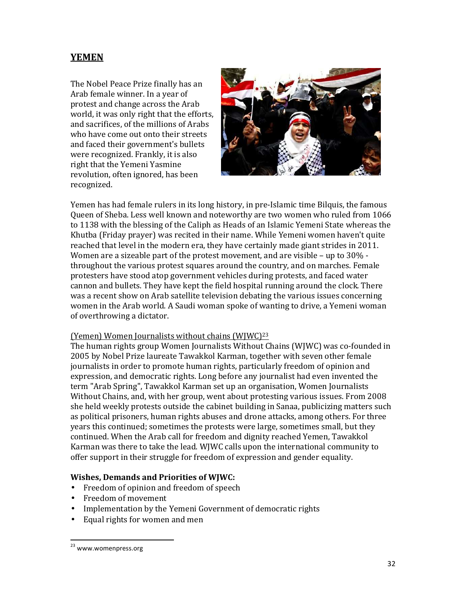## **YEMEN**

The Nobel Peace Prize finally has an Arab female winner. In a year of protest and change across the Arab world, it was only right that the efforts, and sacrifices, of the millions of Arabs who have come out onto their streets and faced their government's bullets were recognized. Frankly, it is also right that the Yemeni Yasmine revolution, often ignored, has been recognized.



Yemen has had female rulers in its long history, in pre-Islamic time Bilquis, the famous Queen of Sheba. Less well known and noteworthy are two women who ruled from 1066 to 1138 with the blessing of the Caliph as Heads of an Islamic Yemeni State whereas the Khutba (Friday prayer) was recited in their name. While Yemeni women haven't quite reached that level in the modern era, they have certainly made giant strides in 2011. Women are a sizeable part of the protest movement, and are visible – up to 30% throughout the various protest squares around the country, and on marches. Female protesters have stood atop government vehicles during protests, and faced water cannon and bullets. They have kept the field hospital running around the clock. There was a recent show on Arab satellite television debating the various issues concerning women in the Arab world. A Saudi woman spoke of wanting to drive, a Yemeni woman of overthrowing a dictator.

#### (Yemen) Women Journalists without chains (WJWC)<sup>23</sup>

The human rights group Women Journalists Without Chains (WJWC) was co-founded in 2005 by Nobel Prize laureate Tawakkol Karman, together with seven other female journalists in order to promote human rights, particularly freedom of opinion and expression, and democratic rights. Long before any journalist had even invented the term "Arab Spring", Tawakkol Karman set up an organisation, Women Journalists Without Chains, and, with her group, went about protesting various issues. From 2008 she held weekly protests outside the cabinet building in Sanaa, publicizing matters such as political prisoners, human rights abuses and drone attacks, among others. For three years this continued; sometimes the protests were large, sometimes small, but they continued. When the Arab call for freedom and dignity reached Yemen, Tawakkol Karman was there to take the lead. WJWC calls upon the international community to offer support in their struggle for freedom of expression and gender equality.

#### Wishes, Demands and Priorities of WJWC:

- Freedom of opinion and freedom of speech
- Freedom of movement
- Implementation by the Yemeni Government of democratic rights
- Equal rights for women and men

<sup>&</sup>lt;sup>23</sup> www.womenpress.org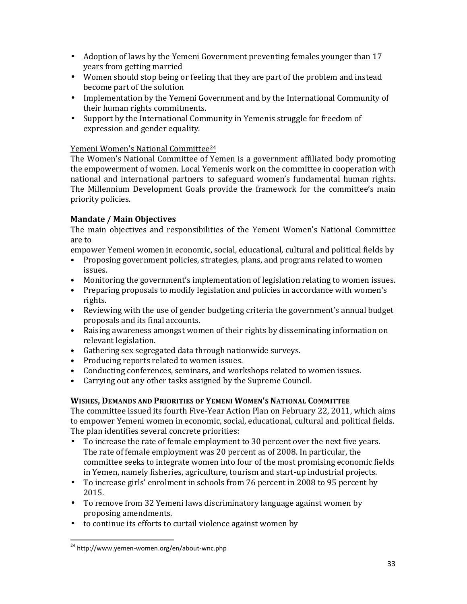- Adoption of laws by the Yemeni Government preventing females younger than 17 years from getting married
- Women should stop being or feeling that they are part of the problem and instead become part of the solution
- Implementation by the Yemeni Government and by the International Community of their human rights commitments.
- Support by the International Community in Yemenis struggle for freedom of expression and gender equality.

#### Yemeni Women's National Committee<sup>24</sup>

The Women's National Committee of Yemen is a government affiliated body promoting the empowerment of women. Local Yemenis work on the committee in cooperation with national and international partners to safeguard women's fundamental human rights. The Millennium Development Goals provide the framework for the committee's main priority policies.

#### Mandate / Main Objectives

The main objectives and responsibilities of the Yemeni Women's National Committee are to

- empower Yemeni women in economic, social, educational, cultural and political fields by
- Proposing government policies, strategies, plans, and programs related to women issues.
- Monitoring the government's implementation of legislation relating to women issues.
- Preparing proposals to modify legislation and policies in accordance with women's rights.
- Reviewing with the use of gender budgeting criteria the government's annual budget proposals and its final accounts.
- Raising awareness amongst women of their rights by disseminating information on relevant legislation.
- Gathering sex segregated data through nationwide surveys.
- Producing reports related to women issues.
- Conducting conferences, seminars, and workshops related to women issues.
- Carrying out any other tasks assigned by the Supreme Council.

## WISHES, DEMANDS AND PRIORITIES OF YEMENI WOMEN'S NATIONAL COMMITTEE

The committee issued its fourth Five-Year Action Plan on February 22, 2011, which aims to empower Yemeni women in economic, social, educational, cultural and political fields. The plan identifies several concrete priorities:

- To increase the rate of female employment to 30 percent over the next five years. The rate of female employment was 20 percent as of 2008. In particular, the committee seeks to integrate women into four of the most promising economic fields in Yemen, namely fisheries, agriculture, tourism and start-up industrial projects.
- To increase girls' enrolment in schools from 76 percent in 2008 to 95 percent by 2015.
- To remove from 32 Yemeni laws discriminatory language against women by proposing amendments.
- to continue its efforts to curtail violence against women by

<sup>24</sup> http://www.yemen-women.org/en/about-wnc.php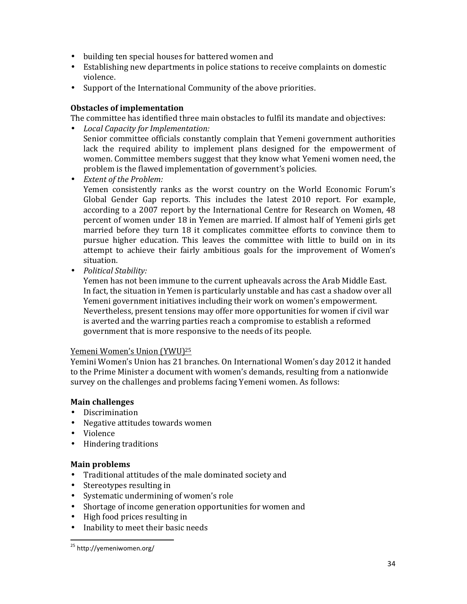- building ten special houses for battered women and
- Establishing new departments in police stations to receive complaints on domestic violence.
- Support of the International Community of the above priorities.

#### Obstacles of implementation

The committee has identified three main obstacles to fulfil its mandate and objectives:

- Local Capacity for Implementation: Senior committee officials constantly complain that Yemeni government authorities lack the required ability to implement plans designed for the empowerment of women. Committee members suggest that they know what Yemeni women need, the problem is the flawed implementation of government's policies.
- Extent of the Problem:

Yemen consistently ranks as the worst country on the World Economic Forum's Global Gender Gap reports. This includes the latest 2010 report. For example, according to a 2007 report by the International Centre for Research on Women, 48 percent of women under 18 in Yemen are married. If almost half of Yemeni girls get married before they turn 18 it complicates committee efforts to convince them to pursue higher education. This leaves the committee with little to build on in its attempt to achieve their fairly ambitious goals for the improvement of Women's situation.

• Political Stability:

Yemen has not been immune to the current upheavals across the Arab Middle East. In fact, the situation in Yemen is particularly unstable and has cast a shadow over all Yemeni government initiatives including their work on women's empowerment. Nevertheless, present tensions may offer more opportunities for women if civil war is averted and the warring parties reach a compromise to establish a reformed government that is more responsive to the needs of its people.

#### Yemeni Women's Union (YWU)<sup>25</sup>

Yemini Women's Union has 21 branches. On International Women's day 2012 it handed to the Prime Minister a document with women's demands, resulting from a nationwide survey on the challenges and problems facing Yemeni women. As follows:

#### Main challenges

- Discrimination
- Negative attitudes towards women
- Violence

1

• Hindering traditions

#### Main problems

- Traditional attitudes of the male dominated society and
- Stereotypes resulting in
- Systematic undermining of women's role
- Shortage of income generation opportunities for women and
- High food prices resulting in
- Inability to meet their basic needs

<sup>25</sup> http://yemeniwomen.org/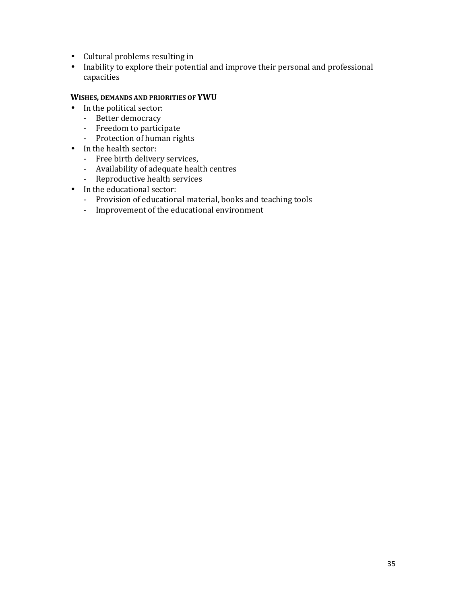- Cultural problems resulting in
- Inability to explore their potential and improve their personal and professional capacities

#### WISHES, DEMANDS AND PRIORITIES OF YWU

- In the political sector:
	- Better democracy
	- Freedom to participate
	- Protection of human rights
- In the health sector:
	- Free birth delivery services,
	- Availability of adequate health centres
	- Reproductive health services
- In the educational sector:
	- Provision of educational material, books and teaching tools
	- Improvement of the educational environment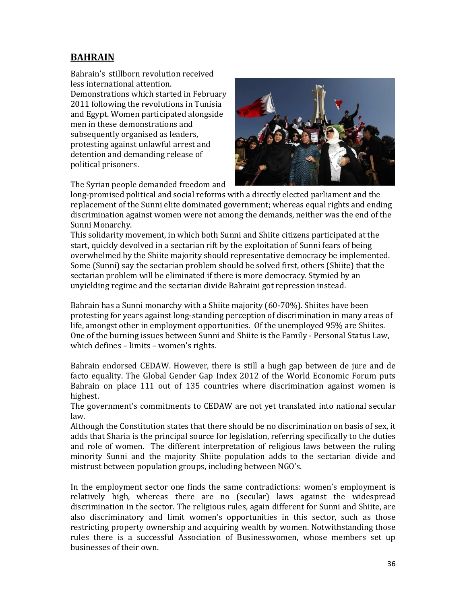## BAHRAIN

Bahrain's stillborn revolution received less international attention. Demonstrations which started in February 2011 following the revolutions in Tunisia and Egypt. Women participated alongside men in these demonstrations and subsequently organised as leaders, protesting against unlawful arrest and detention and demanding release of political prisoners.



The Syrian people demanded freedom and

long-promised political and social reforms with a directly elected parliament and the replacement of the Sunni elite dominated government; whereas equal rights and ending discrimination against women were not among the demands, neither was the end of the Sunni Monarchy.

This solidarity movement, in which both Sunni and Shiite citizens participated at the start, quickly devolved in a sectarian rift by the exploitation of Sunni fears of being overwhelmed by the Shiite majority should representative democracy be implemented. Some (Sunni) say the sectarian problem should be solved first, others (Shiite) that the sectarian problem will be eliminated if there is more democracy. Stymied by an unyielding regime and the sectarian divide Bahraini got repression instead.

Bahrain has a Sunni monarchy with a Shiite majority (60-70%). Shiites have been protesting for years against long-standing perception of discrimination in many areas of life, amongst other in employment opportunities. Of the unemployed 95% are Shiites. One of the burning issues between Sunni and Shiite is the Family - Personal Status Law, which defines – limits – women's rights.

Bahrain endorsed CEDAW. However, there is still a hugh gap between de jure and de facto equality. The Global Gender Gap Index 2012 of the World Economic Forum puts Bahrain on place 111 out of 135 countries where discrimination against women is highest.

The government's commitments to CEDAW are not yet translated into national secular law.

Although the Constitution states that there should be no discrimination on basis of sex, it adds that Sharia is the principal source for legislation, referring specifically to the duties and role of women. The different interpretation of religious laws between the ruling minority Sunni and the majority Shiite population adds to the sectarian divide and mistrust between population groups, including between NGO's.

In the employment sector one finds the same contradictions: women's employment is relatively high, whereas there are no (secular) laws against the widespread discrimination in the sector. The religious rules, again different for Sunni and Shiite, are also discriminatory and limit women's opportunities in this sector, such as those restricting property ownership and acquiring wealth by women. Notwithstanding those rules there is a successful Association of Businesswomen, whose members set up businesses of their own.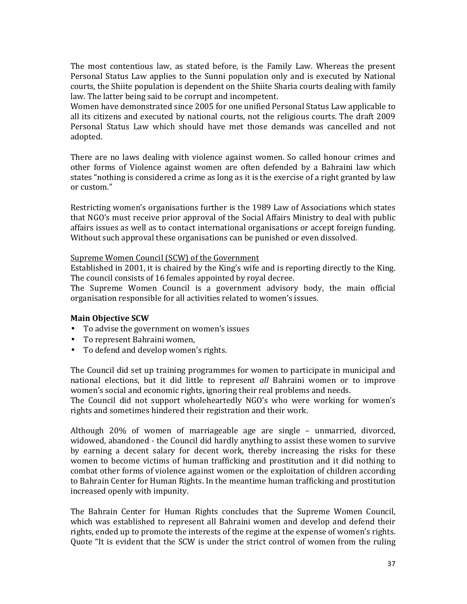The most contentious law, as stated before, is the Family Law. Whereas the present Personal Status Law applies to the Sunni population only and is executed by National courts, the Shiite population is dependent on the Shiite Sharia courts dealing with family law. The latter being said to be corrupt and incompetent.

Women have demonstrated since 2005 for one unified Personal Status Law applicable to all its citizens and executed by national courts, not the religious courts. The draft 2009 Personal Status Law which should have met those demands was cancelled and not adopted.

There are no laws dealing with violence against women. So called honour crimes and other forms of Violence against women are often defended by a Bahraini law which states "nothing is considered a crime as long as it is the exercise of a right granted by law or custom."

Restricting women's organisations further is the 1989 Law of Associations which states that NGO's must receive prior approval of the Social Affairs Ministry to deal with public affairs issues as well as to contact international organisations or accept foreign funding. Without such approval these organisations can be punished or even dissolved.

#### Supreme Women Council (SCW) of the Government

Established in 2001, it is chaired by the King's wife and is reporting directly to the King. The council consists of 16 females appointed by royal decree.

The Supreme Women Council is a government advisory body, the main official organisation responsible for all activities related to women's issues.

#### Main Objective SCW

- To advise the government on women's issues
- To represent Bahraini women,
- To defend and develop women's rights.

The Council did set up training programmes for women to participate in municipal and national elections, but it did little to represent all Bahraini women or to improve women's social and economic rights, ignoring their real problems and needs.

The Council did not support wholeheartedly NGO's who were working for women's rights and sometimes hindered their registration and their work.

Although 20% of women of marriageable age are single – unmarried, divorced, widowed, abandoned - the Council did hardly anything to assist these women to survive by earning a decent salary for decent work, thereby increasing the risks for these women to become victims of human trafficking and prostitution and it did nothing to combat other forms of violence against women or the exploitation of children according to Bahrain Center for Human Rights. In the meantime human trafficking and prostitution increased openly with impunity.

The Bahrain Center for Human Rights concludes that the Supreme Women Council, which was established to represent all Bahraini women and develop and defend their rights, ended up to promote the interests of the regime at the expense of women's rights. Quote "It is evident that the SCW is under the strict control of women from the ruling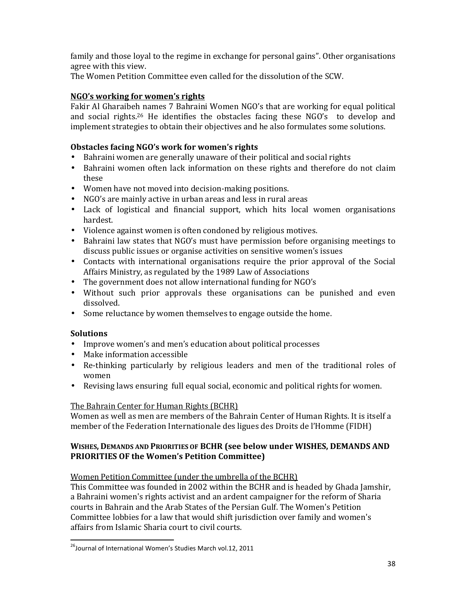family and those loyal to the regime in exchange for personal gains". Other organisations agree with this view.

The Women Petition Committee even called for the dissolution of the SCW.

## NGO's working for women's rights

Fakir Al Gharaibeh names 7 Bahraini Women NGO's that are working for equal political and social rights.<sup>26</sup> He identifies the obstacles facing these NGO's to develop and implement strategies to obtain their objectives and he also formulates some solutions.

## Obstacles facing NGO's work for women's rights

- Bahraini women are generally unaware of their political and social rights
- Bahraini women often lack information on these rights and therefore do not claim these
- Women have not moved into decision-making positions.
- NGO's are mainly active in urban areas and less in rural areas
- Lack of logistical and financial support, which hits local women organisations hardest.
- Violence against women is often condoned by religious motives.
- Bahraini law states that NGO's must have permission before organising meetings to discuss public issues or organise activities on sensitive women's issues
- Contacts with international organisations require the prior approval of the Social Affairs Ministry, as regulated by the 1989 Law of Associations
- The government does not allow international funding for NGO's
- Without such prior approvals these organisations can be punished and even dissolved.
- Some reluctance by women themselves to engage outside the home.

## Solutions

1

- Improve women's and men's education about political processes
- Make information accessible
- Re-thinking particularly by religious leaders and men of the traditional roles of women
- Revising laws ensuring full equal social, economic and political rights for women.

#### The Bahrain Center for Human Rights (BCHR)

Women as well as men are members of the Bahrain Center of Human Rights. It is itself a member of the Federation Internationale des ligues des Droits de l'Homme (FIDH)

#### WISHES, DEMANDS AND PRIORITIES OF BCHR (see below under WISHES, DEMANDS AND PRIORITIES OF the Women's Petition Committee)

#### Women Petition Committee (under the umbrella of the BCHR)

This Committee was founded in 2002 within the BCHR and is headed by Ghada Jamshir, a Bahraini women's rights activist and an ardent campaigner for the reform of Sharia courts in Bahrain and the Arab States of the Persian Gulf. The Women's Petition Committee lobbies for a law that would shift jurisdiction over family and women's affairs from Islamic Sharia court to civil courts.

<sup>&</sup>lt;sup>26</sup>Journal of International Women's Studies March vol.12, 2011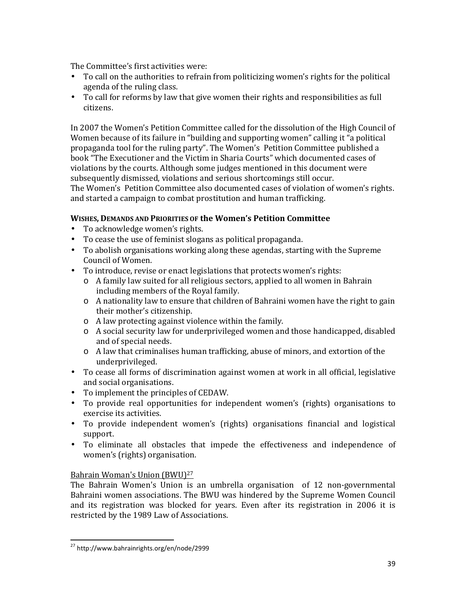The Committee's first activities were:

- To call on the authorities to refrain from politicizing women's rights for the political agenda of the ruling class.
- To call for reforms by law that give women their rights and responsibilities as full citizens.

In 2007 the Women's Petition Committee called for the dissolution of the High Council of Women because of its failure in "building and supporting women" calling it "a political propaganda tool for the ruling party". The Women's Petition Committee published a book "The Executioner and the Victim in Sharia Courts" which documented cases of violations by the courts. Although some judges mentioned in this document were subsequently dismissed, violations and serious shortcomings still occur. The Women's Petition Committee also documented cases of violation of women's rights. and started a campaign to combat prostitution and human trafficking.

#### WISHES, DEMANDS AND PRIORITIES OF the Women's Petition Committee

- To acknowledge women's rights.
- To cease the use of feminist slogans as political propaganda.
- To abolish organisations working along these agendas, starting with the Supreme Council of Women.
- To introduce, revise or enact legislations that protects women's rights:
	- o A family law suited for all religious sectors, applied to all women in Bahrain including members of the Royal family.
	- o A nationality law to ensure that children of Bahraini women have the right to gain their mother's citizenship.
	- o A law protecting against violence within the family.
	- o A social security law for underprivileged women and those handicapped, disabled and of special needs.
	- o A law that criminalises human trafficking, abuse of minors, and extortion of the underprivileged.
- To cease all forms of discrimination against women at work in all official, legislative and social organisations.
- To implement the principles of CEDAW.
- To provide real opportunities for independent women's (rights) organisations to exercise its activities.
- To provide independent women's (rights) organisations financial and logistical support.
- To eliminate all obstacles that impede the effectiveness and independence of women's (rights) organisation.

#### Bahrain Woman's Union (BWU)<sup>27</sup>

The Bahrain Women's Union is an umbrella organisation of 12 non-governmental Bahraini women associations. The BWU was hindered by the Supreme Women Council and its registration was blocked for years. Even after its registration in 2006 it is restricted by the 1989 Law of Associations.

<sup>27</sup> http://www.bahrainrights.org/en/node/2999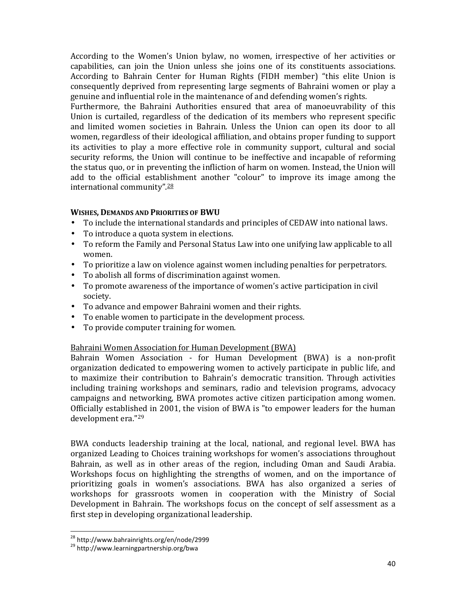According to the Women's Union bylaw, no women, irrespective of her activities or capabilities, can join the Union unless she joins one of its constituents associations. According to Bahrain Center for Human Rights (FIDH member) "this elite Union is consequently deprived from representing large segments of Bahraini women or play a genuine and influential role in the maintenance of and defending women's rights.

Furthermore, the Bahraini Authorities ensured that area of manoeuvrability of this Union is curtailed, regardless of the dedication of its members who represent specific and limited women societies in Bahrain. Unless the Union can open its door to all women, regardless of their ideological affiliation, and obtains proper funding to support its activities to play a more effective role in community support, cultural and social security reforms, the Union will continue to be ineffective and incapable of reforming the status quo, or in preventing the infliction of harm on women. Instead, the Union will add to the official establishment another "colour" to improve its image among the international community".<sup>28</sup>

#### WISHES, DEMANDS AND PRIORITIES OF BWU

- To include the international standards and principles of CEDAW into national laws.
- To introduce a quota system in elections.
- To reform the Family and Personal Status Law into one unifying law applicable to all women.
- To prioritize a law on violence against women including penalties for perpetrators.
- To abolish all forms of discrimination against women.
- To promote awareness of the importance of women's active participation in civil society.
- To advance and empower Bahraini women and their rights.
- To enable women to participate in the development process.
- To provide computer training for women.

#### Bahraini Women Association for Human Development (BWA)

Bahrain Women Association - for Human Development (BWA) is a non-profit organization dedicated to empowering women to actively participate in public life, and to maximize their contribution to Bahrain's democratic transition. Through activities including training workshops and seminars, radio and television programs, advocacy campaigns and networking, BWA promotes active citizen participation among women. Officially established in 2001, the vision of BWA is "to empower leaders for the human development era."<sup>29</sup>

BWA conducts leadership training at the local, national, and regional level. BWA has organized Leading to Choices training workshops for women's associations throughout Bahrain, as well as in other areas of the region, including Oman and Saudi Arabia. Workshops focus on highlighting the strengths of women, and on the importance of prioritizing goals in women's associations. BWA has also organized a series of workshops for grassroots women in cooperation with the Ministry of Social Development in Bahrain. The workshops focus on the concept of self assessment as a first step in developing organizational leadership.

l,

<sup>&</sup>lt;sup>28</sup> http://www.bahrainrights.org/en/node/2999

<sup>&</sup>lt;sup>29</sup> http://www.learningpartnership.org/bwa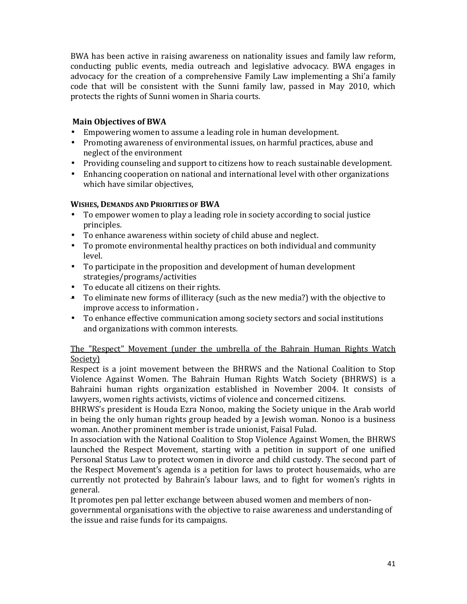BWA has been active in raising awareness on nationality issues and family law reform, conducting public events, media outreach and legislative advocacy. BWA engages in advocacy for the creation of a comprehensive Family Law implementing a Shi'a family code that will be consistent with the Sunni family law, passed in May 2010, which protects the rights of Sunni women in Sharia courts.

#### Main Objectives of BWA

- Empowering women to assume a leading role in human development.
- Promoting awareness of environmental issues, on harmful practices, abuse and neglect of the environment
- Providing counseling and support to citizens how to reach sustainable development.
- Enhancing cooperation on national and international level with other organizations which have similar objectives,

#### WISHES, DEMANDS AND PRIORITIES OF BWA

- To empower women to play a leading role in society according to social justice principles.
- To enhance awareness within society of child abuse and neglect.
- To promote environmental healthy practices on both individual and community level.
- To participate in the proposition and development of human development strategies/programs/activities
- To educate all citizens on their rights.
- To eliminate new forms of illiteracy (such as the new media?) with the objective to improve access to information .
- To enhance effective communication among society sectors and social institutions and organizations with common interests.

#### The "Respect" Movement (under the umbrella of the Bahrain Human Rights Watch Society)

Respect is a joint movement between the BHRWS and the National Coalition to Stop Violence Against Women. The Bahrain Human Rights Watch Society (BHRWS) is a Bahraini human rights organization established in November 2004. It consists of lawyers, women rights activists, victims of violence and concerned citizens.

BHRWS's president is Houda Ezra Nonoo, making the Society unique in the Arab world in being the only human rights group headed by a Jewish woman. Nonoo is a business woman. Another prominent member is trade unionist, Faisal Fulad.

In association with the National Coalition to Stop Violence Against Women, the BHRWS launched the Respect Movement, starting with a petition in support of one unified Personal Status Law to protect women in divorce and child custody. The second part of the Respect Movement's agenda is a petition for laws to protect housemaids, who are currently not protected by Bahrain's labour laws, and to fight for women's rights in general.

It promotes pen pal letter exchange between abused women and members of non-

governmental organisations with the objective to raise awareness and understanding of the issue and raise funds for its campaigns.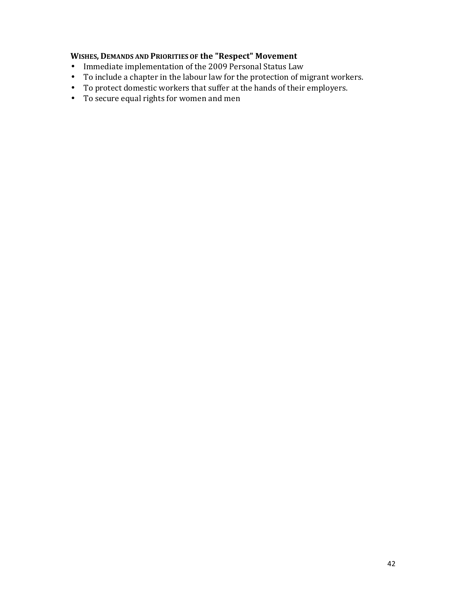## WISHES, DEMANDS AND PRIORITIES OF the "Respect" Movement

- Immediate implementation of the 2009 Personal Status Law
- To include a chapter in the labour law for the protection of migrant workers.
- To protect domestic workers that suffer at the hands of their employers.
- To secure equal rights for women and men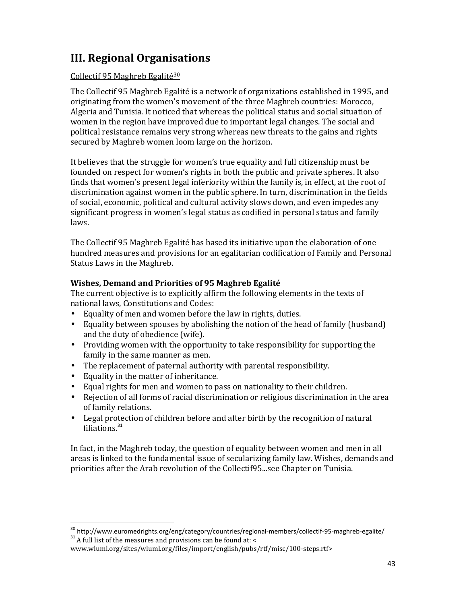## III. Regional Organisations

#### Collectif 95 Maghreb Egalité<sup>30</sup>

The Collectif 95 Maghreb Egalité is a network of organizations established in 1995, and originating from the women's movement of the three Maghreb countries: Morocco, Algeria and Tunisia. It noticed that whereas the political status and social situation of women in the region have improved due to important legal changes. The social and political resistance remains very strong whereas new threats to the gains and rights secured by Maghreb women loom large on the horizon.

It believes that the struggle for women's true equality and full citizenship must be founded on respect for women's rights in both the public and private spheres. It also finds that women's present legal inferiority within the family is, in effect, at the root of discrimination against women in the public sphere. In turn, discrimination in the fields of social, economic, political and cultural activity slows down, and even impedes any significant progress in women's legal status as codified in personal status and family laws.

The Collectif 95 Maghreb Egalité has based its initiative upon the elaboration of one hundred measures and provisions for an egalitarian codification of Family and Personal Status Laws in the Maghreb.

## Wishes, Demand and Priorities of 95 Maghreb Egalité

The current objective is to explicitly affirm the following elements in the texts of national laws, Constitutions and Codes:

- Equality of men and women before the law in rights, duties.
- Equality between spouses by abolishing the notion of the head of family (husband) and the duty of obedience (wife).
- Providing women with the opportunity to take responsibility for supporting the family in the same manner as men.
- The replacement of paternal authority with parental responsibility.
- Equality in the matter of inheritance.
- Equal rights for men and women to pass on nationality to their children.
- Rejection of all forms of racial discrimination or religious discrimination in the area of family relations.
- Legal protection of children before and after birth by the recognition of natural filiations.<sup>31</sup>

In fact, in the Maghreb today, the question of equality between women and men in all areas is linked to the fundamental issue of secularizing family law. Wishes, demands and priorities after the Arab revolution of the Collectif95...see Chapter on Tunisia.

 $30$  http://www.euromedrights.org/eng/category/countries/regional-members/collectif-95-maghreb-egalite/

 $31$  A full list of the measures and provisions can be found at: <

www.wluml.org/sites/wluml.org/files/import/english/pubs/rtf/misc/100-steps.rtf>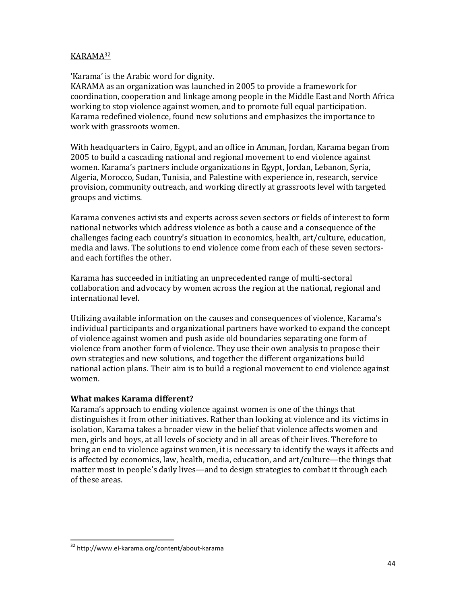#### KARAMA<sup>32</sup>

'Karama' is the Arabic word for dignity.

KARAMA as an organization was launched in 2005 to provide a framework for coordination, cooperation and linkage among people in the Middle East and North Africa working to stop violence against women, and to promote full equal participation. Karama redefined violence, found new solutions and emphasizes the importance to work with grassroots women.

With headquarters in Cairo, Egypt, and an office in Amman, Jordan, Karama began from 2005 to build a cascading national and regional movement to end violence against women. Karama's partners include organizations in Egypt, Jordan, Lebanon, Syria, Algeria, Morocco, Sudan, Tunisia, and Palestine with experience in, research, service provision, community outreach, and working directly at grassroots level with targeted groups and victims.

Karama convenes activists and experts across seven sectors or fields of interest to form national networks which address violence as both a cause and a consequence of the challenges facing each country's situation in economics, health, art/culture, education, media and laws. The solutions to end violence come from each of these seven sectorsand each fortifies the other.

Karama has succeeded in initiating an unprecedented range of multi-sectoral collaboration and advocacy by women across the region at the national, regional and international level.

Utilizing available information on the causes and consequences of violence, Karama's individual participants and organizational partners have worked to expand the concept of violence against women and push aside old boundaries separating one form of violence from another form of violence. They use their own analysis to propose their own strategies and new solutions, and together the different organizations build national action plans. Their aim is to build a regional movement to end violence against women.

#### What makes Karama different?

Karama's approach to ending violence against women is one of the things that distinguishes it from other initiatives. Rather than looking at violence and its victims in isolation, Karama takes a broader view in the belief that violence affects women and men, girls and boys, at all levels of society and in all areas of their lives. Therefore to bring an end to violence against women, it is necessary to identify the ways it affects and is affected by economics, law, health, media, education, and art/culture—the things that matter most in people's daily lives—and to design strategies to combat it through each of these areas.

<sup>32</sup> http://www.el-karama.org/content/about-karama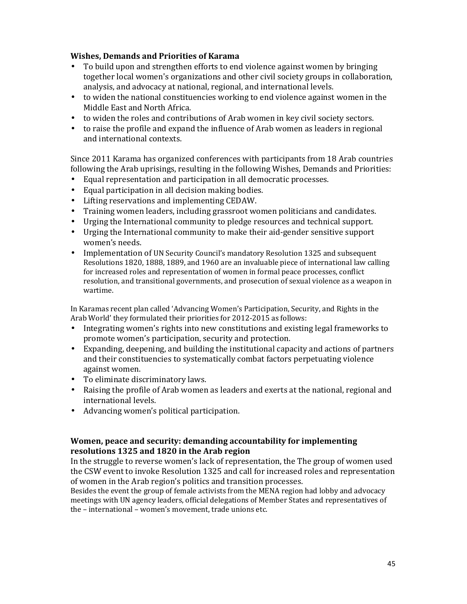#### Wishes, Demands and Priorities of Karama

- To build upon and strengthen efforts to end violence against women by bringing together local women's organizations and other civil society groups in collaboration, analysis, and advocacy at national, regional, and international levels.
- to widen the national constituencies working to end violence against women in the Middle East and North Africa.
- to widen the roles and contributions of Arab women in key civil society sectors.
- to raise the profile and expand the influence of Arab women as leaders in regional and international contexts.

Since 2011 Karama has organized conferences with participants from 18 Arab countries following the Arab uprisings, resulting in the following Wishes, Demands and Priorities:

- Equal representation and participation in all democratic processes.
- Equal participation in all decision making bodies.
- Lifting reservations and implementing CEDAW.
- Training women leaders, including grassroot women politicians and candidates.
- Urging the International community to pledge resources and technical support.
- Urging the International community to make their aid-gender sensitive support women's needs.
- Implementation of UN Security Council's mandatory Resolution 1325 and subsequent Resolutions 1820, 1888, 1889, and 1960 are an invaluable piece of international law calling for increased roles and representation of women in formal peace processes, conflict resolution, and transitional governments, and prosecution of sexual violence as a weapon in wartime.

In Karamas recent plan called 'Advancing Women's Participation, Security, and Rights in the Arab World' they formulated their priorities for 2012-2015 as follows:

- Integrating women's rights into new constitutions and existing legal frameworks to promote women's participation, security and protection.
- Expanding, deepening, and building the institutional capacity and actions of partners and their constituencies to systematically combat factors perpetuating violence against women.
- To eliminate discriminatory laws.
- Raising the profile of Arab women as leaders and exerts at the national, regional and international levels.
- Advancing women's political participation.

#### Women, peace and security: demanding accountability for implementing resolutions 1325 and 1820 in the Arab region

In the struggle to reverse women's lack of representation, the The group of women used the CSW event to invoke Resolution 1325 and call for increased roles and representation of women in the Arab region's politics and transition processes.

Besides the event the group of female activists from the MENA region had lobby and advocacy meetings with UN agency leaders, official delegations of Member States and representatives of the – international – women's movement, trade unions etc.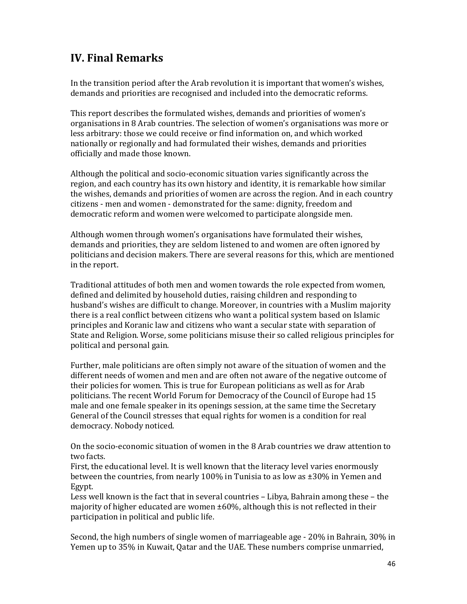## IV. Final Remarks

In the transition period after the Arab revolution it is important that women's wishes, demands and priorities are recognised and included into the democratic reforms.

This report describes the formulated wishes, demands and priorities of women's organisations in 8 Arab countries. The selection of women's organisations was more or less arbitrary: those we could receive or find information on, and which worked nationally or regionally and had formulated their wishes, demands and priorities officially and made those known.

Although the political and socio-economic situation varies significantly across the region, and each country has its own history and identity, it is remarkable how similar the wishes, demands and priorities of women are across the region. And in each country citizens - men and women - demonstrated for the same: dignity, freedom and democratic reform and women were welcomed to participate alongside men.

Although women through women's organisations have formulated their wishes, demands and priorities, they are seldom listened to and women are often ignored by politicians and decision makers. There are several reasons for this, which are mentioned in the report.

Traditional attitudes of both men and women towards the role expected from women, defined and delimited by household duties, raising children and responding to husband's wishes are difficult to change. Moreover, in countries with a Muslim majority there is a real conflict between citizens who want a political system based on Islamic principles and Koranic law and citizens who want a secular state with separation of State and Religion. Worse, some politicians misuse their so called religious principles for political and personal gain.

Further, male politicians are often simply not aware of the situation of women and the different needs of women and men and are often not aware of the negative outcome of their policies for women. This is true for European politicians as well as for Arab politicians. The recent World Forum for Democracy of the Council of Europe had 15 male and one female speaker in its openings session, at the same time the Secretary General of the Council stresses that equal rights for women is a condition for real democracy. Nobody noticed.

On the socio-economic situation of women in the 8 Arab countries we draw attention to two facts.

First, the educational level. It is well known that the literacy level varies enormously between the countries, from nearly 100% in Tunisia to as low as ±30% in Yemen and Egypt.

Less well known is the fact that in several countries – Libya, Bahrain among these – the majority of higher educated are women ±60%, although this is not reflected in their participation in political and public life.

Second, the high numbers of single women of marriageable age - 20% in Bahrain, 30% in Yemen up to 35% in Kuwait, Qatar and the UAE. These numbers comprise unmarried,